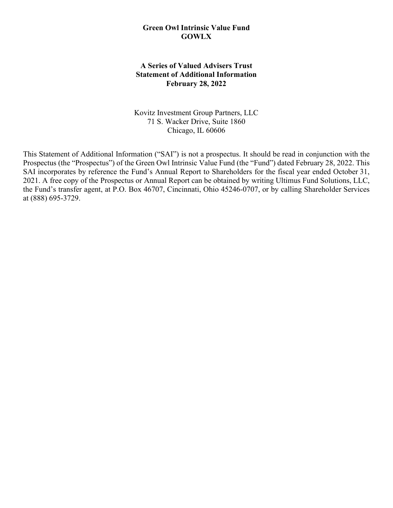### **Green Owl Intrinsic Value Fund GOWLX**

# **A Series of Valued Advisers Trust Statement of Additional Information February 28, 2022**

Kovitz Investment Group Partners, LLC 71 S. Wacker Drive, Suite 1860 Chicago, IL 60606

This Statement of Additional Information ("SAI") is not a prospectus. It should be read in conjunction with the Prospectus (the "Prospectus") of the Green Owl Intrinsic Value Fund (the "Fund") dated February 28, 2022. This SAI incorporates by reference the Fund's Annual Report to Shareholders for the fiscal year ended October 31, 2021. A free copy of the Prospectus or Annual Report can be obtained by writing Ultimus Fund Solutions, LLC, the Fund's transfer agent, at P.O. Box 46707, Cincinnati, Ohio 45246-0707, or by calling Shareholder Services at (888) 695-3729.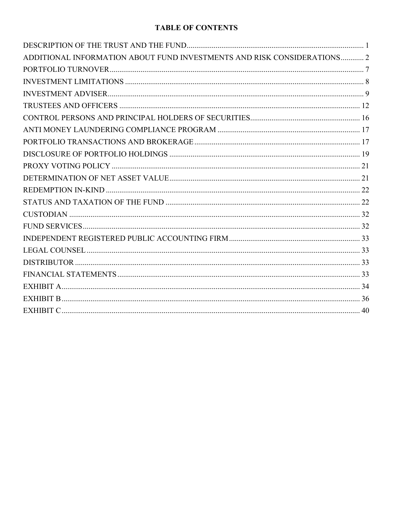# **TABLE OF CONTENTS**

| ADDITIONAL INFORMATION ABOUT FUND INVESTMENTS AND RISK CONSIDERATIONS 2 |  |
|-------------------------------------------------------------------------|--|
|                                                                         |  |
|                                                                         |  |
|                                                                         |  |
|                                                                         |  |
|                                                                         |  |
|                                                                         |  |
|                                                                         |  |
|                                                                         |  |
|                                                                         |  |
|                                                                         |  |
|                                                                         |  |
|                                                                         |  |
|                                                                         |  |
|                                                                         |  |
|                                                                         |  |
|                                                                         |  |
|                                                                         |  |
|                                                                         |  |
|                                                                         |  |
|                                                                         |  |
|                                                                         |  |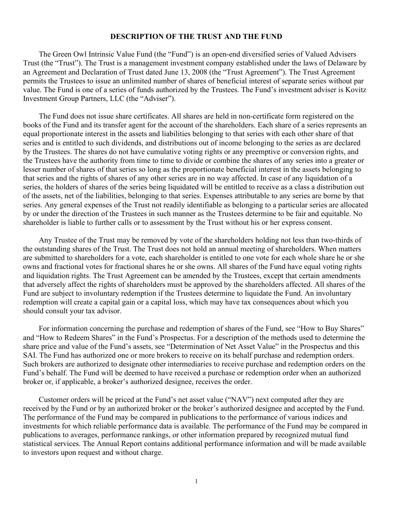### **DESCRIPTION OF THE TRUST AND THE FUND**

<span id="page-2-0"></span>The Green Owl Intrinsic Value Fund (the "Fund") is an open-end diversified series of Valued Advisers Trust (the "Trust"). The Trust is a management investment company established under the laws of Delaware by an Agreement and Declaration of Trust dated June 13, 2008 (the "Trust Agreement"). The Trust Agreement permits the Trustees to issue an unlimited number of shares of beneficial interest of separate series without par value. The Fund is one of a series of funds authorized by the Trustees. The Fund's investment adviser is Kovitz Investment Group Partners, LLC (the "Adviser").

The Fund does not issue share certificates. All shares are held in non-certificate form registered on the books of the Fund and its transfer agent for the account of the shareholders. Each share of a series represents an equal proportionate interest in the assets and liabilities belonging to that series with each other share of that series and is entitled to such dividends, and distributions out of income belonging to the series as are declared by the Trustees. The shares do not have cumulative voting rights or any preemptive or conversion rights, and the Trustees have the authority from time to time to divide or combine the shares of any series into a greater or lesser number of shares of that series so long as the proportionate beneficial interest in the assets belonging to that series and the rights of shares of any other series are in no way affected. In case of any liquidation of a series, the holders of shares of the series being liquidated will be entitled to receive as a class a distribution out of the assets, net of the liabilities, belonging to that series. Expenses attributable to any series are borne by that series. Any general expenses of the Trust not readily identifiable as belonging to a particular series are allocated by or under the direction of the Trustees in such manner as the Trustees determine to be fair and equitable. No shareholder is liable to further calls or to assessment by the Trust without his or her express consent.

Any Trustee of the Trust may be removed by vote of the shareholders holding not less than two-thirds of the outstanding shares of the Trust. The Trust does not hold an annual meeting of shareholders. When matters are submitted to shareholders for a vote, each shareholder is entitled to one vote for each whole share he or she owns and fractional votes for fractional shares he or she owns. All shares of the Fund have equal voting rights and liquidation rights. The Trust Agreement can be amended by the Trustees, except that certain amendments that adversely affect the rights of shareholders must be approved by the shareholders affected. All shares of the Fund are subject to involuntary redemption if the Trustees determine to liquidate the Fund. An involuntary redemption will create a capital gain or a capital loss, which may have tax consequences about which you should consult your tax advisor.

For information concerning the purchase and redemption of shares of the Fund, see "How to Buy Shares" and "How to Redeem Shares" in the Fund's Prospectus. For a description of the methods used to determine the share price and value of the Fund's assets, see "Determination of Net Asset Value" in the Prospectus and this SAI. The Fund has authorized one or more brokers to receive on its behalf purchase and redemption orders. Such brokers are authorized to designate other intermediaries to receive purchase and redemption orders on the Fund's behalf. The Fund will be deemed to have received a purchase or redemption order when an authorized broker or, if applicable, a broker's authorized designee, receives the order.

Customer orders will be priced at the Fund's net asset value ("NAV") next computed after they are received by the Fund or by an authorized broker or the broker's authorized designee and accepted by the Fund. The performance of the Fund may be compared in publications to the performance of various indices and investments for which reliable performance data is available. The performance of the Fund may be compared in publications to averages, performance rankings, or other information prepared by recognized mutual fund statistical services. The Annual Report contains additional performance information and will be made available to investors upon request and without charge.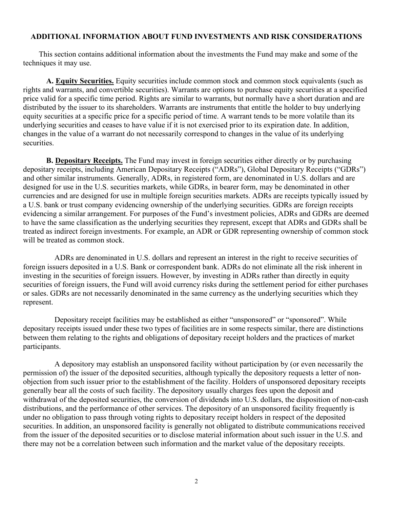## <span id="page-3-0"></span>**ADDITIONAL INFORMATION ABOUT FUND INVESTMENTS AND RISK CONSIDERATIONS**

This section contains additional information about the investments the Fund may make and some of the techniques it may use.

**A. Equity Securities.** Equity securities include common stock and common stock equivalents (such as rights and warrants, and convertible securities). Warrants are options to purchase equity securities at a specified price valid for a specific time period. Rights are similar to warrants, but normally have a short duration and are distributed by the issuer to its shareholders. Warrants are instruments that entitle the holder to buy underlying equity securities at a specific price for a specific period of time. A warrant tends to be more volatile than its underlying securities and ceases to have value if it is not exercised prior to its expiration date. In addition, changes in the value of a warrant do not necessarily correspond to changes in the value of its underlying securities.

**B. Depositary Receipts.** The Fund may invest in foreign securities either directly or by purchasing depositary receipts, including American Depositary Receipts ("ADRs"), Global Depositary Receipts ("GDRs") and other similar instruments. Generally, ADRs, in registered form, are denominated in U.S. dollars and are designed for use in the U.S. securities markets, while GDRs, in bearer form, may be denominated in other currencies and are designed for use in multiple foreign securities markets. ADRs are receipts typically issued by a U.S. bank or trust company evidencing ownership of the underlying securities. GDRs are foreign receipts evidencing a similar arrangement. For purposes of the Fund's investment policies, ADRs and GDRs are deemed to have the same classification as the underlying securities they represent, except that ADRs and GDRs shall be treated as indirect foreign investments. For example, an ADR or GDR representing ownership of common stock will be treated as common stock.

ADRs are denominated in U.S. dollars and represent an interest in the right to receive securities of foreign issuers deposited in a U.S. Bank or correspondent bank. ADRs do not eliminate all the risk inherent in investing in the securities of foreign issuers. However, by investing in ADRs rather than directly in equity securities of foreign issuers, the Fund will avoid currency risks during the settlement period for either purchases or sales. GDRs are not necessarily denominated in the same currency as the underlying securities which they represent.

Depositary receipt facilities may be established as either "unsponsored" or "sponsored". While depositary receipts issued under these two types of facilities are in some respects similar, there are distinctions between them relating to the rights and obligations of depositary receipt holders and the practices of market participants.

A depository may establish an unsponsored facility without participation by (or even necessarily the permission of) the issuer of the deposited securities, although typically the depository requests a letter of nonobjection from such issuer prior to the establishment of the facility. Holders of unsponsored depositary receipts generally bear all the costs of such facility. The depository usually charges fees upon the deposit and withdrawal of the deposited securities, the conversion of dividends into U.S. dollars, the disposition of non-cash distributions, and the performance of other services. The depository of an unsponsored facility frequently is under no obligation to pass through voting rights to depositary receipt holders in respect of the deposited securities. In addition, an unsponsored facility is generally not obligated to distribute communications received from the issuer of the deposited securities or to disclose material information about such issuer in the U.S. and there may not be a correlation between such information and the market value of the depositary receipts.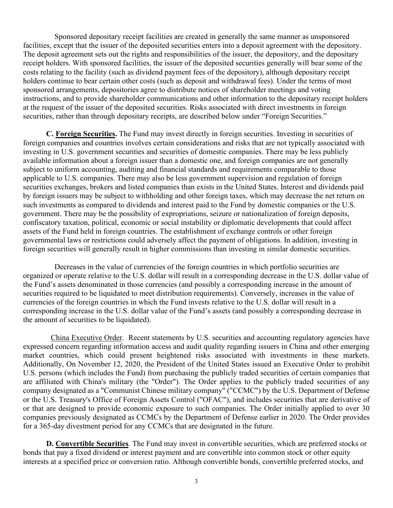Sponsored depositary receipt facilities are created in generally the same manner as unsponsored facilities, except that the issuer of the deposited securities enters into a deposit agreement with the depository. The deposit agreement sets out the rights and responsibilities of the issuer, the depository, and the depositary receipt holders. With sponsored facilities, the issuer of the deposited securities generally will bear some of the costs relating to the facility (such as dividend payment fees of the depository), although depositary receipt holders continue to bear certain other costs (such as deposit and withdrawal fees). Under the terms of most sponsored arrangements, depositories agree to distribute notices of shareholder meetings and voting instructions, and to provide shareholder communications and other information to the depositary receipt holders at the request of the issuer of the deposited securities. Risks associated with direct investments in foreign securities, rather than through depositary receipts, are described below under "Foreign Securities."

**C. Foreign Securities.** The Fund may invest directly in foreign securities. Investing in securities of foreign companies and countries involves certain considerations and risks that are not typically associated with investing in U.S. government securities and securities of domestic companies. There may be less publicly available information about a foreign issuer than a domestic one, and foreign companies are not generally subject to uniform accounting, auditing and financial standards and requirements comparable to those applicable to U.S. companies. There may also be less government supervision and regulation of foreign securities exchanges, brokers and listed companies than exists in the United States. Interest and dividends paid by foreign issuers may be subject to withholding and other foreign taxes, which may decrease the net return on such investments as compared to dividends and interest paid to the Fund by domestic companies or the U.S. government. There may be the possibility of expropriations, seizure or nationalization of foreign deposits, confiscatory taxation, political, economic or social instability or diplomatic developments that could affect assets of the Fund held in foreign countries. The establishment of exchange controls or other foreign governmental laws or restrictions could adversely affect the payment of obligations. In addition, investing in foreign securities will generally result in higher commissions than investing in similar domestic securities.

Decreases in the value of currencies of the foreign countries in which portfolio securities are organized or operate relative to the U.S. dollar will result in a corresponding decrease in the U.S. dollar value of the Fund's assets denominated in those currencies (and possibly a corresponding increase in the amount of securities required to be liquidated to meet distribution requirements). Conversely, increases in the value of currencies of the foreign countries in which the Fund invests relative to the U.S. dollar will result in a corresponding increase in the U.S. dollar value of the Fund's assets (and possibly a corresponding decrease in the amount of securities to be liquidated).

China Executive Order. Recent statements by U.S. securities and accounting regulatory agencies have expressed concern regarding information access and audit quality regarding issuers in China and other emerging market countries, which could present heightened risks associated with investments in these markets. Additionally, On November 12, 2020, the President of the United States issued an Executive Order to prohibit U.S. persons (which includes the Fund) from purchasing the publicly traded securities of certain companies that are affiliated with China's military (the "Order"). The Order applies to the publicly traded securities of any company designated as a "Communist Chinese military company" ("CCMC") by the U.S. Department of Defense or the U.S. Treasury's Office of Foreign Assets Control ("OFAC"), and includes securities that are derivative of or that are designed to provide economic exposure to such companies. The Order initially applied to over 30 companies previously designated as CCMCs by the Department of Defense earlier in 2020. The Order provides for a 365-day divestment period for any CCMCs that are designated in the future.

**D. Convertible Securities**. The Fund may invest in convertible securities, which are preferred stocks or bonds that pay a fixed dividend or interest payment and are convertible into common stock or other equity interests at a specified price or conversion ratio. Although convertible bonds, convertible preferred stocks, and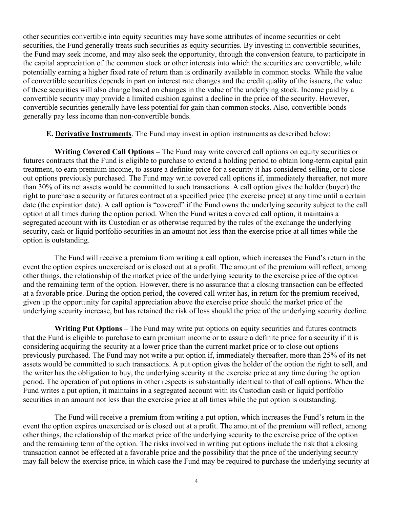other securities convertible into equity securities may have some attributes of income securities or debt securities, the Fund generally treats such securities as equity securities. By investing in convertible securities, the Fund may seek income, and may also seek the opportunity, through the conversion feature, to participate in the capital appreciation of the common stock or other interests into which the securities are convertible, while potentially earning a higher fixed rate of return than is ordinarily available in common stocks. While the value of convertible securities depends in part on interest rate changes and the credit quality of the issuers, the value of these securities will also change based on changes in the value of the underlying stock. Income paid by a convertible security may provide a limited cushion against a decline in the price of the security. However, convertible securities generally have less potential for gain than common stocks. Also, convertible bonds generally pay less income than non-convertible bonds.

## **E. Derivative Instruments**. The Fund may invest in option instruments as described below:

**Writing Covered Call Options –** The Fund may write covered call options on equity securities or futures contracts that the Fund is eligible to purchase to extend a holding period to obtain long-term capital gain treatment, to earn premium income, to assure a definite price for a security it has considered selling, or to close out options previously purchased. The Fund may write covered call options if, immediately thereafter, not more than 30% of its net assets would be committed to such transactions. A call option gives the holder (buyer) the right to purchase a security or futures contract at a specified price (the exercise price) at any time until a certain date (the expiration date). A call option is "covered" if the Fund owns the underlying security subject to the call option at all times during the option period. When the Fund writes a covered call option, it maintains a segregated account with its Custodian or as otherwise required by the rules of the exchange the underlying security, cash or liquid portfolio securities in an amount not less than the exercise price at all times while the option is outstanding.

The Fund will receive a premium from writing a call option, which increases the Fund's return in the event the option expires unexercised or is closed out at a profit. The amount of the premium will reflect, among other things, the relationship of the market price of the underlying security to the exercise price of the option and the remaining term of the option. However, there is no assurance that a closing transaction can be effected at a favorable price. During the option period, the covered call writer has, in return for the premium received, given up the opportunity for capital appreciation above the exercise price should the market price of the underlying security increase, but has retained the risk of loss should the price of the underlying security decline.

**Writing Put Options –** The Fund may write put options on equity securities and futures contracts that the Fund is eligible to purchase to earn premium income or to assure a definite price for a security if it is considering acquiring the security at a lower price than the current market price or to close out options previously purchased. The Fund may not write a put option if, immediately thereafter, more than 25% of its net assets would be committed to such transactions. A put option gives the holder of the option the right to sell, and the writer has the obligation to buy, the underlying security at the exercise price at any time during the option period. The operation of put options in other respects is substantially identical to that of call options. When the Fund writes a put option, it maintains in a segregated account with its Custodian cash or liquid portfolio securities in an amount not less than the exercise price at all times while the put option is outstanding.

The Fund will receive a premium from writing a put option, which increases the Fund's return in the event the option expires unexercised or is closed out at a profit. The amount of the premium will reflect, among other things, the relationship of the market price of the underlying security to the exercise price of the option and the remaining term of the option. The risks involved in writing put options include the risk that a closing transaction cannot be effected at a favorable price and the possibility that the price of the underlying security may fall below the exercise price, in which case the Fund may be required to purchase the underlying security at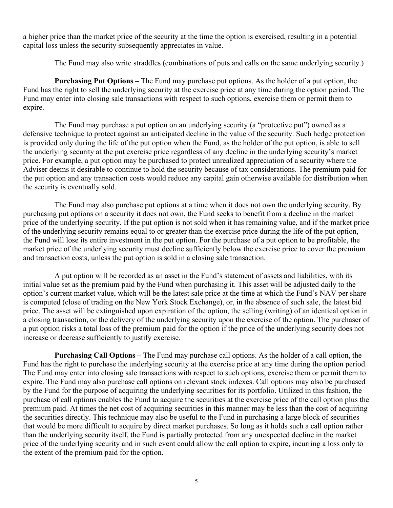a higher price than the market price of the security at the time the option is exercised, resulting in a potential capital loss unless the security subsequently appreciates in value.

The Fund may also write straddles (combinations of puts and calls on the same underlying security.)

**Purchasing Put Options –** The Fund may purchase put options. As the holder of a put option, the Fund has the right to sell the underlying security at the exercise price at any time during the option period. The Fund may enter into closing sale transactions with respect to such options, exercise them or permit them to expire.

The Fund may purchase a put option on an underlying security (a "protective put") owned as a defensive technique to protect against an anticipated decline in the value of the security. Such hedge protection is provided only during the life of the put option when the Fund, as the holder of the put option, is able to sell the underlying security at the put exercise price regardless of any decline in the underlying security's market price. For example, a put option may be purchased to protect unrealized appreciation of a security where the Adviser deems it desirable to continue to hold the security because of tax considerations. The premium paid for the put option and any transaction costs would reduce any capital gain otherwise available for distribution when the security is eventually sold.

The Fund may also purchase put options at a time when it does not own the underlying security. By purchasing put options on a security it does not own, the Fund seeks to benefit from a decline in the market price of the underlying security. If the put option is not sold when it has remaining value, and if the market price of the underlying security remains equal to or greater than the exercise price during the life of the put option, the Fund will lose its entire investment in the put option. For the purchase of a put option to be profitable, the market price of the underlying security must decline sufficiently below the exercise price to cover the premium and transaction costs, unless the put option is sold in a closing sale transaction.

A put option will be recorded as an asset in the Fund's statement of assets and liabilities, with its initial value set as the premium paid by the Fund when purchasing it. This asset will be adjusted daily to the option's current market value, which will be the latest sale price at the time at which the Fund's NAV per share is computed (close of trading on the New York Stock Exchange), or, in the absence of such sale, the latest bid price. The asset will be extinguished upon expiration of the option, the selling (writing) of an identical option in a closing transaction, or the delivery of the underlying security upon the exercise of the option. The purchaser of a put option risks a total loss of the premium paid for the option if the price of the underlying security does not increase or decrease sufficiently to justify exercise.

**Purchasing Call Options –** The Fund may purchase call options. As the holder of a call option, the Fund has the right to purchase the underlying security at the exercise price at any time during the option period. The Fund may enter into closing sale transactions with respect to such options, exercise them or permit them to expire. The Fund may also purchase call options on relevant stock indexes. Call options may also be purchased by the Fund for the purpose of acquiring the underlying securities for its portfolio. Utilized in this fashion, the purchase of call options enables the Fund to acquire the securities at the exercise price of the call option plus the premium paid. At times the net cost of acquiring securities in this manner may be less than the cost of acquiring the securities directly. This technique may also be useful to the Fund in purchasing a large block of securities that would be more difficult to acquire by direct market purchases. So long as it holds such a call option rather than the underlying security itself, the Fund is partially protected from any unexpected decline in the market price of the underlying security and in such event could allow the call option to expire, incurring a loss only to the extent of the premium paid for the option.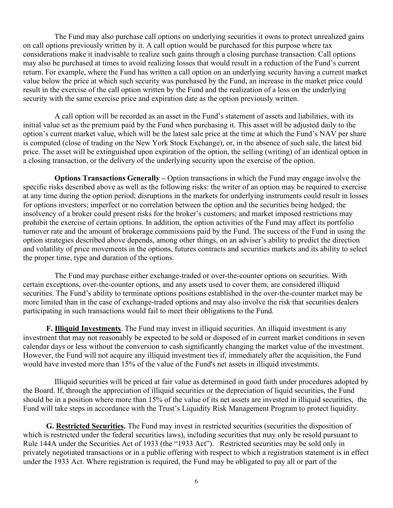The Fund may also purchase call options on underlying securities it owns to protect unrealized gains on call options previously written by it. A call option would be purchased for this purpose where tax considerations make it inadvisable to realize such gains through a closing purchase transaction. Call options may also be purchased at times to avoid realizing losses that would result in a reduction of the Fund's current return. For example, where the Fund has written a call option on an underlying security having a current market value below the price at which such security was purchased by the Fund, an increase in the market price could result in the exercise of the call option written by the Fund and the realization of a loss on the underlying security with the same exercise price and expiration date as the option previously written.

A call option will be recorded as an asset in the Fund's statement of assets and liabilities, with its initial value set as the premium paid by the Fund when purchasing it. This asset will be adjusted daily to the option's current market value, which will be the latest sale price at the time at which the Fund's NAV per share is computed (close of trading on the New York Stock Exchange), or, in the absence of such sale, the latest bid price. The asset will be extinguished upon expiration of the option, the selling (writing) of an identical option in a closing transaction, or the delivery of the underlying security upon the exercise of the option.

**Options Transactions Generally –** Option transactions in which the Fund may engage involve the specific risks described above as well as the following risks: the writer of an option may be required to exercise at any time during the option period; disruptions in the markets for underlying instruments could result in losses for options investors; imperfect or no correlation between the option and the securities being hedged; the insolvency of a broker could present risks for the broker's customers; and market imposed restrictions may prohibit the exercise of certain options. In addition, the option activities of the Fund may affect its portfolio turnover rate and the amount of brokerage commissions paid by the Fund. The success of the Fund in using the option strategies described above depends, among other things, on an adviser's ability to predict the direction and volatility of price movements in the options, futures contracts and securities markets and its ability to select the proper time, type and duration of the options.

The Fund may purchase either exchange-traded or over-the-counter options on securities. With certain exceptions, over-the-counter options, and any assets used to cover them, are considered illiquid securities. The Fund's ability to terminate options positions established in the over-the-counter market may be more limited than in the case of exchange-traded options and may also involve the risk that securities dealers participating in such transactions would fail to meet their obligations to the Fund.

**F. Illiquid Investments**. The Fund may invest in illiquid securities. An illiquid investment is any investment that may not reasonably be expected to be sold or disposed of in current market conditions in seven calendar days or less without the conversion to cash significantly changing the market value of the investment. However, the Fund will not acquire any illiquid investment ties if, immediately after the acquisition, the Fund would have invested more than 15% of the value of the Fund's net assets in illiquid investments.

Illiquid securities will be priced at fair value as determined in good faith under procedures adopted by the Board. If, through the appreciation of illiquid securities or the depreciation of liquid securities, the Fund should be in a position where more than 15% of the value of its net assets are invested in illiquid securities, the Fund will take steps in accordance with the Trust's Liquidity Risk Management Program to protect liquidity.

**G. Restricted Securities.** The Fund may invest in restricted securities (securities the disposition of which is restricted under the federal securities laws), including securities that may only be resold pursuant to Rule 144A under the Securities Act of 1933 (the "1933 Act"). Restricted securities may be sold only in privately negotiated transactions or in a public offering with respect to which a registration statement is in effect under the 1933 Act. Where registration is required, the Fund may be obligated to pay all or part of the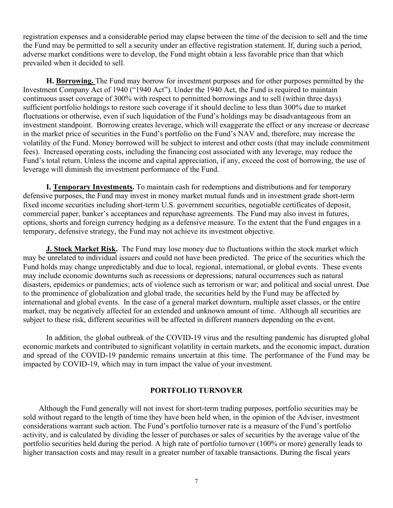registration expenses and a considerable period may elapse between the time of the decision to sell and the time the Fund may be permitted to sell a security under an effective registration statement. If, during such a period, adverse market conditions were to develop, the Fund might obtain a less favorable price than that which prevailed when it decided to sell.

**H. Borrowing.** The Fund may borrow for investment purposes and for other purposes permitted by the Investment Company Act of 1940 ("1940 Act"). Under the 1940 Act, the Fund is required to maintain continuous asset coverage of 300% with respect to permitted borrowings and to sell (within three days) sufficient portfolio holdings to restore such coverage if it should decline to less than 300% due to market fluctuations or otherwise, even if such liquidation of the Fund's holdings may be disadvantageous from an investment standpoint. Borrowing creates leverage, which will exaggerate the effect or any increase or decrease in the market price of securities in the Fund's portfolio on the Fund's NAV and, therefore, may increase the volatility of the Fund. Money borrowed will be subject to interest and other costs (that may include commitment fees). Increased operating costs, including the financing cost associated with any leverage, may reduce the Fund's total return. Unless the income and capital appreciation, if any, exceed the cost of borrowing, the use of leverage will diminish the investment performance of the Fund.

**I. Temporary Investments.** To maintain cash for redemptions and distributions and for temporary defensive purposes, the Fund may invest in money market mutual funds and in investment grade short-term fixed income securities including short-term U.S. government securities, negotiable certificates of deposit, commercial paper, banker's acceptances and repurchase agreements. The Fund may also invest in futures, options, shorts and foreign currency hedging as a defensive measure. To the extent that the Fund engages in a temporary, defensive strategy, the Fund may not achieve its investment objective.

**J. Stock Market Risk.** The Fund may lose money due to fluctuations within the stock market which may be unrelated to individual issuers and could not have been predicted. The price of the securities which the Fund holds may change unpredictably and due to local, regional, international, or global events. These events may include economic downturns such as recessions or depressions; natural occurrences such as natural disasters, epidemics or pandemics; acts of violence such as terrorism or war; and political and social unrest. Due to the prominence of globalization and global trade, the securities held by the Fund may be affected by international and global events. In the case of a general market downturn, multiple asset classes, or the entire market, may be negatively affected for an extended and unknown amount of time. Although all securities are subject to these risk, different securities will be affected in different manners depending on the event.

In addition, the global outbreak of the COVID-19 virus and the resulting pandemic has disrupted global economic markets and contributed to significant volatility in certain markets, and the economic impact, duration and spread of the COVID-19 pandemic remains uncertain at this time. The performance of the Fund may be impacted by COVID-19, which may in turn impact the value of your investment.

### **PORTFOLIO TURNOVER**

<span id="page-8-0"></span>Although the Fund generally will not invest for short-term trading purposes, portfolio securities may be sold without regard to the length of time they have been held when, in the opinion of the Adviser, investment considerations warrant such action. The Fund's portfolio turnover rate is a measure of the Fund's portfolio activity, and is calculated by dividing the lesser of purchases or sales of securities by the average value of the portfolio securities held during the period. A high rate of portfolio turnover (100% or more) generally leads to higher transaction costs and may result in a greater number of taxable transactions. During the fiscal years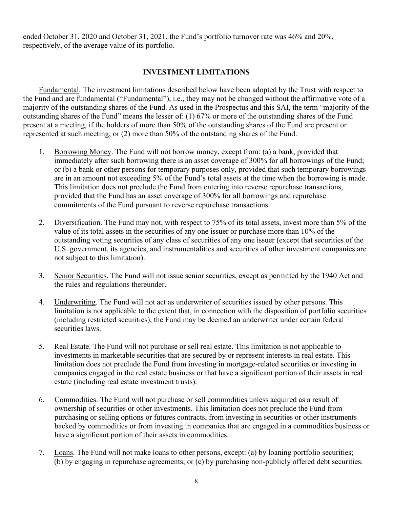ended October 31, 2020 and October 31, 2021, the Fund's portfolio turnover rate was 46% and 20%, respectively, of the average value of its portfolio.

# **INVESTMENT LIMITATIONS**

<span id="page-9-0"></span>Fundamental. The investment limitations described below have been adopted by the Trust with respect to the Fund and are fundamental ("Fundamental"), *i.e.*, they may not be changed without the affirmative vote of a majority of the outstanding shares of the Fund. As used in the Prospectus and this SAI, the term "majority of the outstanding shares of the Fund" means the lesser of: (1) 67% or more of the outstanding shares of the Fund present at a meeting, if the holders of more than 50% of the outstanding shares of the Fund are present or represented at such meeting; or (2) more than 50% of the outstanding shares of the Fund.

- 1. Borrowing Money. The Fund will not borrow money, except from: (a) a bank, provided that immediately after such borrowing there is an asset coverage of 300% for all borrowings of the Fund; or (b) a bank or other persons for temporary purposes only, provided that such temporary borrowings are in an amount not exceeding 5% of the Fund's total assets at the time when the borrowing is made. This limitation does not preclude the Fund from entering into reverse repurchase transactions, provided that the Fund has an asset coverage of 300% for all borrowings and repurchase commitments of the Fund pursuant to reverse repurchase transactions.
- 2. Diversification. The Fund may not, with respect to 75% of its total assets, invest more than 5% of the value of its total assets in the securities of any one issuer or purchase more than 10% of the outstanding voting securities of any class of securities of any one issuer (except that securities of the U.S. government, its agencies, and instrumentalities and securities of other investment companies are not subject to this limitation).
- 3. Senior Securities. The Fund will not issue senior securities, except as permitted by the 1940 Act and the rules and regulations thereunder.
- 4. Underwriting. The Fund will not act as underwriter of securities issued by other persons. This limitation is not applicable to the extent that, in connection with the disposition of portfolio securities (including restricted securities), the Fund may be deemed an underwriter under certain federal securities laws.
- 5. Real Estate. The Fund will not purchase or sell real estate. This limitation is not applicable to investments in marketable securities that are secured by or represent interests in real estate. This limitation does not preclude the Fund from investing in mortgage-related securities or investing in companies engaged in the real estate business or that have a significant portion of their assets in real estate (including real estate investment trusts).
- 6. Commodities. The Fund will not purchase or sell commodities unless acquired as a result of ownership of securities or other investments. This limitation does not preclude the Fund from purchasing or selling options or futures contracts, from investing in securities or other instruments backed by commodities or from investing in companies that are engaged in a commodities business or have a significant portion of their assets in commodities.
- 7. Loans. The Fund will not make loans to other persons, except: (a) by loaning portfolio securities; (b) by engaging in repurchase agreements; or (c) by purchasing non-publicly offered debt securities.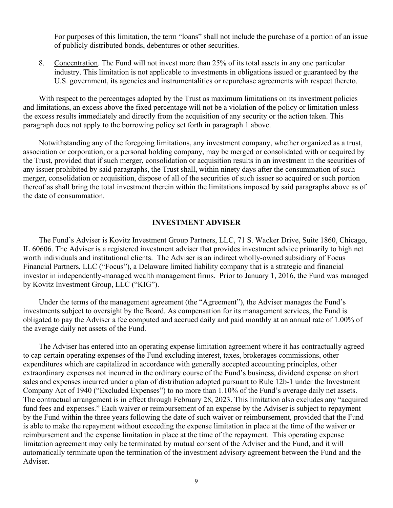For purposes of this limitation, the term "loans" shall not include the purchase of a portion of an issue of publicly distributed bonds, debentures or other securities.

8. Concentration. The Fund will not invest more than 25% of its total assets in any one particular industry. This limitation is not applicable to investments in obligations issued or guaranteed by the U.S. government, its agencies and instrumentalities or repurchase agreements with respect thereto.

With respect to the percentages adopted by the Trust as maximum limitations on its investment policies and limitations, an excess above the fixed percentage will not be a violation of the policy or limitation unless the excess results immediately and directly from the acquisition of any security or the action taken. This paragraph does not apply to the borrowing policy set forth in paragraph 1 above.

Notwithstanding any of the foregoing limitations, any investment company, whether organized as a trust, association or corporation, or a personal holding company, may be merged or consolidated with or acquired by the Trust, provided that if such merger, consolidation or acquisition results in an investment in the securities of any issuer prohibited by said paragraphs, the Trust shall, within ninety days after the consummation of such merger, consolidation or acquisition, dispose of all of the securities of such issuer so acquired or such portion thereof as shall bring the total investment therein within the limitations imposed by said paragraphs above as of the date of consummation.

### **INVESTMENT ADVISER**

<span id="page-10-0"></span>The Fund's Adviser is Kovitz Investment Group Partners, LLC, 71 S. Wacker Drive, Suite 1860, Chicago, IL 60606. The Adviser is a registered investment adviser that provides investment advice primarily to high net worth individuals and institutional clients. The Adviser is an indirect wholly-owned subsidiary of Focus Financial Partners, LLC ("Focus"), a Delaware limited liability company that is a strategic and financial investor in independently-managed wealth management firms. Prior to January 1, 2016, the Fund was managed by Kovitz Investment Group, LLC ("KIG").

Under the terms of the management agreement (the "Agreement"), the Adviser manages the Fund's investments subject to oversight by the Board. As compensation for its management services, the Fund is obligated to pay the Adviser a fee computed and accrued daily and paid monthly at an annual rate of 1.00% of the average daily net assets of the Fund.

The Adviser has entered into an operating expense limitation agreement where it has contractually agreed to cap certain operating expenses of the Fund excluding interest, taxes, brokerages commissions, other expenditures which are capitalized in accordance with generally accepted accounting principles, other extraordinary expenses not incurred in the ordinary course of the Fund's business, dividend expense on short sales and expenses incurred under a plan of distribution adopted pursuant to Rule 12b-1 under the Investment Company Act of 1940 ("Excluded Expenses") to no more than 1.10% of the Fund's average daily net assets. The contractual arrangement is in effect through February 28, 2023. This limitation also excludes any "acquired fund fees and expenses." Each waiver or reimbursement of an expense by the Adviser is subject to repayment by the Fund within the three years following the date of such waiver or reimbursement, provided that the Fund is able to make the repayment without exceeding the expense limitation in place at the time of the waiver or reimbursement and the expense limitation in place at the time of the repayment. This operating expense limitation agreement may only be terminated by mutual consent of the Adviser and the Fund, and it will automatically terminate upon the termination of the investment advisory agreement between the Fund and the Adviser.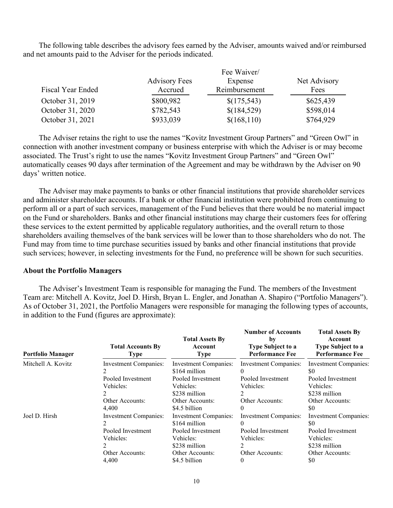The following table describes the advisory fees earned by the Adviser, amounts waived and/or reimbursed and net amounts paid to the Adviser for the periods indicated.

| Fiscal Year Ended | <b>Advisory Fees</b><br>Accrued | Fee Waiver/<br>Expense<br>Reimbursement |           |
|-------------------|---------------------------------|-----------------------------------------|-----------|
| October 31, 2019  | \$800,982                       | \$(175,543)                             | \$625,439 |
| October 31, 2020  | \$782,543                       | \$(184,529)                             | \$598,014 |
| October 31, 2021  | \$933,039                       | \$(168,110)                             | \$764,929 |

The Adviser retains the right to use the names "Kovitz Investment Group Partners" and "Green Owl" in connection with another investment company or business enterprise with which the Adviser is or may become associated. The Trust's right to use the names "Kovitz Investment Group Partners" and "Green Owl" automatically ceases 90 days after termination of the Agreement and may be withdrawn by the Adviser on 90 days' written notice.

The Adviser may make payments to banks or other financial institutions that provide shareholder services and administer shareholder accounts. If a bank or other financial institution were prohibited from continuing to perform all or a part of such services, management of the Fund believes that there would be no material impact on the Fund or shareholders. Banks and other financial institutions may charge their customers fees for offering these services to the extent permitted by applicable regulatory authorities, and the overall return to those shareholders availing themselves of the bank services will be lower than to those shareholders who do not. The Fund may from time to time purchase securities issued by banks and other financial institutions that provide such services; however, in selecting investments for the Fund, no preference will be shown for such securities.

#### **About the Portfolio Managers**

The Adviser's Investment Team is responsible for managing the Fund. The members of the Investment Team are: Mitchell A. Kovitz, Joel D. Hirsh, Bryan L. Engler, and Jonathan A. Shapiro ("Portfolio Managers"). As of October 31, 2021, the Portfolio Managers were responsible for managing the following types of accounts, in addition to the Fund (figures are approximate):

| <b>Portfolio Manager</b> | <b>Total Accounts By</b><br><b>Type</b> | <b>Total Assets By</b><br>Account<br><b>Type</b> | <b>Number of Accounts</b><br>by<br><b>Type Subject to a</b><br><b>Performance Fee</b> | <b>Total Assets By</b><br>Account<br><b>Type Subject to a</b><br><b>Performance Fee</b> |
|--------------------------|-----------------------------------------|--------------------------------------------------|---------------------------------------------------------------------------------------|-----------------------------------------------------------------------------------------|
| Mitchell A. Kovitz       | Investment Companies:                   | Investment Companies:                            | Investment Companies:                                                                 | Investment Companies:                                                                   |
|                          |                                         | \$164 million                                    | $\theta$                                                                              | \$0                                                                                     |
|                          | Pooled Investment                       | Pooled Investment                                | Pooled Investment                                                                     | Pooled Investment                                                                       |
|                          | Vehicles:                               | Vehicles:                                        | Vehicles:                                                                             | Vehicles:                                                                               |
|                          |                                         | \$238 million                                    | 2                                                                                     | \$238 million                                                                           |
|                          | Other Accounts:                         | Other Accounts:                                  | Other Accounts:                                                                       | Other Accounts:                                                                         |
|                          | 4,400                                   | \$4.5 billion                                    | $\theta$                                                                              | \$0                                                                                     |
| Joel D. Hirsh            | <b>Investment Companies:</b>            | Investment Companies:                            | Investment Companies:                                                                 | Investment Companies:                                                                   |
|                          | 2                                       | \$164 million                                    | $\theta$                                                                              | \$0                                                                                     |
|                          | Pooled Investment                       | Pooled Investment                                | Pooled Investment                                                                     | Pooled Investment                                                                       |
|                          | Vehicles:                               | Vehicles:                                        | Vehicles:                                                                             | Vehicles:                                                                               |
|                          | $\mathfrak{D}$                          | \$238 million                                    | $\mathfrak{D}$                                                                        | \$238 million                                                                           |
|                          | Other Accounts:                         | Other Accounts:                                  | Other Accounts:                                                                       | Other Accounts:                                                                         |
|                          | 4.400                                   | \$4.5 billion                                    | $\theta$                                                                              | \$0                                                                                     |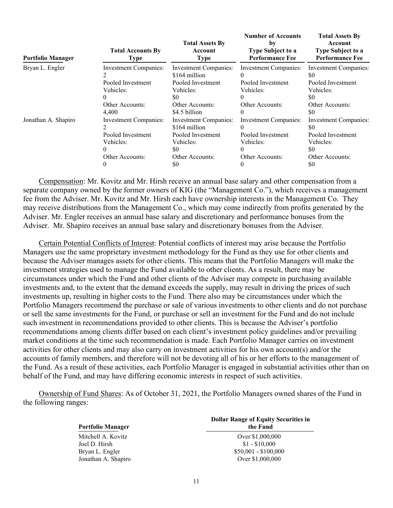| <b>Portfolio Manager</b> | <b>Total Accounts By</b><br><b>Type</b>                 | <b>Total Assets By</b><br>Account<br><b>Type</b>                                | <b>Number of Accounts</b><br>by<br><b>Type Subject to a</b><br><b>Performance Fee</b> | <b>Total Assets By</b><br>Account<br><b>Type Subject to a</b><br><b>Performance Fee</b> |
|--------------------------|---------------------------------------------------------|---------------------------------------------------------------------------------|---------------------------------------------------------------------------------------|-----------------------------------------------------------------------------------------|
| Bryan L. Engler          | <b>Investment Companies:</b>                            | <b>Investment Companies:</b><br>\$164 million                                   | Investment Companies:<br>$_{0}$                                                       | Investment Companies:<br>\$0                                                            |
|                          | Pooled Investment                                       | Pooled Investment                                                               | Pooled Investment                                                                     | Pooled Investment                                                                       |
|                          | Vehicles:                                               | Vehicles:                                                                       | Vehicles:                                                                             | Vehicles:                                                                               |
|                          | $^{(1)}$                                                | \$0                                                                             | $\theta$                                                                              | \$0                                                                                     |
|                          | Other Accounts:                                         | Other Accounts:                                                                 | Other Accounts:                                                                       | Other Accounts:                                                                         |
|                          | 4,400                                                   | \$4.5 billion                                                                   | 0                                                                                     | \$0                                                                                     |
| Jonathan A. Shapiro      | Investment Companies:<br>Pooled Investment<br>Vehicles: | <b>Investment Companies:</b><br>\$164 million<br>Pooled Investment<br>Vehicles: | Investment Companies:<br>$\theta$<br>Pooled Investment<br>Vehicles:                   | Investment Companies:<br>\$0<br>Pooled Investment<br>Vehicles:                          |
|                          | $^{(1)}$                                                | \$0                                                                             | $\theta$                                                                              | \$0                                                                                     |
|                          | Other Accounts:                                         | Other Accounts:                                                                 | Other Accounts:                                                                       | Other Accounts:                                                                         |
|                          | $\theta$                                                | \$0                                                                             | $\theta$                                                                              | \$0                                                                                     |

Compensation: Mr. Kovitz and Mr. Hirsh receive an annual base salary and other compensation from a separate company owned by the former owners of KIG (the "Management Co."), which receives a management fee from the Adviser. Mr. Kovitz and Mr. Hirsh each have ownership interests in the Management Co. They may receive distributions from the Management Co., which may come indirectly from profits generated by the Adviser. Mr. Engler receives an annual base salary and discretionary and performance bonuses from the Adviser. Mr. Shapiro receives an annual base salary and discretionary bonuses from the Adviser.

Certain Potential Conflicts of Interest: Potential conflicts of interest may arise because the Portfolio Managers use the same proprietary investment methodology for the Fund as they use for other clients and because the Adviser manages assets for other clients. This means that the Portfolio Managers will make the investment strategies used to manage the Fund available to other clients. As a result, there may be circumstances under which the Fund and other clients of the Adviser may compete in purchasing available investments and, to the extent that the demand exceeds the supply, may result in driving the prices of such investments up, resulting in higher costs to the Fund. There also may be circumstances under which the Portfolio Managers recommend the purchase or sale of various investments to other clients and do not purchase or sell the same investments for the Fund, or purchase or sell an investment for the Fund and do not include such investment in recommendations provided to other clients. This is because the Adviser's portfolio recommendations among clients differ based on each client's investment policy guidelines and/or prevailing market conditions at the time such recommendation is made. Each Portfolio Manager carries on investment activities for other clients and may also carry on investment activities for his own account(s) and/or the accounts of family members, and therefore will not be devoting all of his or her efforts to the management of the Fund. As a result of these activities, each Portfolio Manager is engaged in substantial activities other than on behalf of the Fund, and may have differing economic interests in respect of such activities.

Ownership of Fund Shares: As of October 31, 2021, the Portfolio Managers owned shares of the Fund in the following ranges:

**Portfolio Manager**

<span id="page-12-0"></span>Mitchell A. Kovitz Over \$1,000,000 Joel D. Hirsh  $$1 - $10,000$ Bryan L. Engler \$50,001 - \$100,000<br>
Jonathan A. Shapiro \$50,001 - \$1,000,000 Jonathan A. Shapiro

#### **Dollar Range of Equity Securities in the Fund**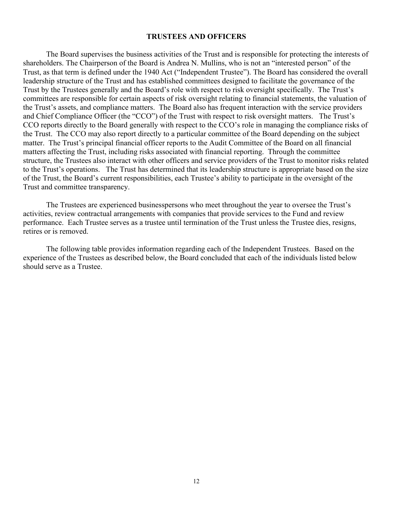### **TRUSTEES AND OFFICERS**

The Board supervises the business activities of the Trust and is responsible for protecting the interests of shareholders. The Chairperson of the Board is Andrea N. Mullins, who is not an "interested person" of the Trust, as that term is defined under the 1940 Act ("Independent Trustee"). The Board has considered the overall leadership structure of the Trust and has established committees designed to facilitate the governance of the Trust by the Trustees generally and the Board's role with respect to risk oversight specifically. The Trust's committees are responsible for certain aspects of risk oversight relating to financial statements, the valuation of the Trust's assets, and compliance matters. The Board also has frequent interaction with the service providers and Chief Compliance Officer (the "CCO") of the Trust with respect to risk oversight matters. The Trust's CCO reports directly to the Board generally with respect to the CCO's role in managing the compliance risks of the Trust. The CCO may also report directly to a particular committee of the Board depending on the subject matter. The Trust's principal financial officer reports to the Audit Committee of the Board on all financial matters affecting the Trust, including risks associated with financial reporting. Through the committee structure, the Trustees also interact with other officers and service providers of the Trust to monitor risks related to the Trust's operations. The Trust has determined that its leadership structure is appropriate based on the size of the Trust, the Board's current responsibilities, each Trustee's ability to participate in the oversight of the Trust and committee transparency.

The Trustees are experienced businesspersons who meet throughout the year to oversee the Trust's activities, review contractual arrangements with companies that provide services to the Fund and review performance. Each Trustee serves as a trustee until termination of the Trust unless the Trustee dies, resigns, retires or is removed.

The following table provides information regarding each of the Independent Trustees. Based on the experience of the Trustees as described below, the Board concluded that each of the individuals listed below should serve as a Trustee.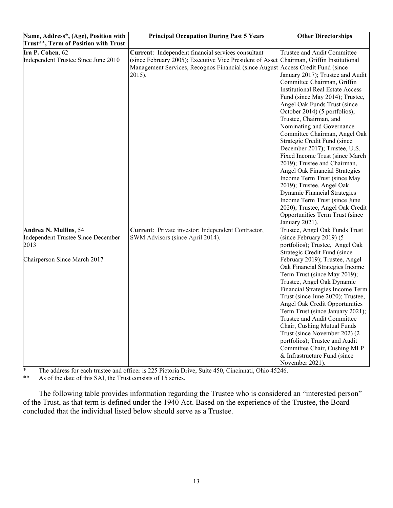| Name, Address*, (Age), Position with<br>Trust**, Term of Position with Trust                        | <b>Principal Occupation During Past 5 Years</b>                                                                                                                                                                                             | <b>Other Directorships</b>                                                                                                                                                                                                                                                                                                                                                                                                                                                                                                                                                                                                                                                                                                                |
|-----------------------------------------------------------------------------------------------------|---------------------------------------------------------------------------------------------------------------------------------------------------------------------------------------------------------------------------------------------|-------------------------------------------------------------------------------------------------------------------------------------------------------------------------------------------------------------------------------------------------------------------------------------------------------------------------------------------------------------------------------------------------------------------------------------------------------------------------------------------------------------------------------------------------------------------------------------------------------------------------------------------------------------------------------------------------------------------------------------------|
| Ira P. Cohen, 62<br>Independent Trustee Since June 2010                                             | Current: Independent financial services consultant<br>(since February 2005); Executive Vice President of Asset Chairman, Griffin Institutional<br>Management Services, Recognos Financial (since August Access Credit Fund (since<br>2015). | Trustee and Audit Committee<br>January 2017); Trustee and Audit<br>Committee Chairman, Griffin<br><b>Institutional Real Estate Access</b><br>Fund (since May 2014); Trustee,<br>Angel Oak Funds Trust (since<br>October 2014) (5 portfolios);<br>Trustee, Chairman, and<br>Nominating and Governance<br>Committee Chairman, Angel Oak<br>Strategic Credit Fund (since<br>December 2017); Trustee, U.S.<br>Fixed Income Trust (since March<br>2019); Trustee and Chairman,<br><b>Angel Oak Financial Strategies</b><br>Income Term Trust (since May<br>2019); Trustee, Angel Oak<br>Dynamic Financial Strategies<br>Income Term Trust (since June<br>2020); Trustee, Angel Oak Credit<br>Opportunities Term Trust (since<br>January 2021). |
| Andrea N. Mullins, 54<br>Independent Trustee Since December<br>2013<br>Chairperson Since March 2017 | Current: Private investor; Independent Contractor,<br>SWM Advisors (since April 2014).                                                                                                                                                      | Trustee, Angel Oak Funds Trust<br>(since February 2019) (5<br>portfolios); Trustee, Angel Oak<br>Strategic Credit Fund (since<br>February 2019); Trustee, Angel<br>Oak Financial Strategies Income<br>Term Trust (since May 2019);<br>Trustee, Angel Oak Dynamic<br>Financial Strategies Income Term<br>Trust (since June 2020); Trustee,<br>Angel Oak Credit Opportunities<br>Term Trust (since January 2021);<br>Trustee and Audit Committee<br>Chair, Cushing Mutual Funds<br>Trust (since November 202) (2<br>portfolios); Trustee and Audit<br>Committee Chair, Cushing MLP<br>& Infrastructure Fund (since<br>November 2021).                                                                                                       |

\* The address for each trustee and officer is 225 Pictoria Drive, Suite 450, Cincinnati, Ohio 45246.<br>\*\* As of the date of this SAI the Trust consists of 15 series

As of the date of this SAI, the Trust consists of 15 series.

The following table provides information regarding the Trustee who is considered an "interested person" of the Trust, as that term is defined under the 1940 Act. Based on the experience of the Trustee, the Board concluded that the individual listed below should serve as a Trustee.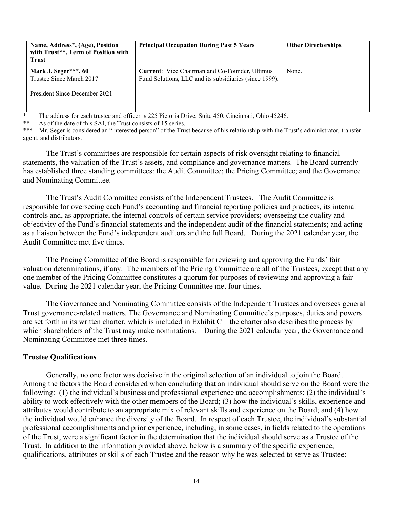| Name, Address*, (Age), Position<br>with Trust**, Term of Position with<br><b>Trust</b> | <b>Principal Occupation During Past 5 Years</b>                                                                 | <b>Other Directorships</b> |
|----------------------------------------------------------------------------------------|-----------------------------------------------------------------------------------------------------------------|----------------------------|
| Mark J. Seger***, 60<br>Trustee Since March 2017<br>President Since December 2021      | <b>Current:</b> Vice Chairman and Co-Founder, Ultimus<br>Fund Solutions, LLC and its subsidiaries (since 1999). | None.                      |

\* The address for each trustee and officer is 225 Pictoria Drive, Suite 450, Cincinnati, Ohio 45246.

As of the date of this SAI, the Trust consists of 15 series.

\*\*\* Mr. Seger is considered an "interested person" of the Trust because of his relationship with the Trust's administrator, transfer agent, and distributors.

The Trust's committees are responsible for certain aspects of risk oversight relating to financial statements, the valuation of the Trust's assets, and compliance and governance matters. The Board currently has established three standing committees: the Audit Committee; the Pricing Committee; and the Governance and Nominating Committee.

The Trust's Audit Committee consists of the Independent Trustees. The Audit Committee is responsible for overseeing each Fund's accounting and financial reporting policies and practices, its internal controls and, as appropriate, the internal controls of certain service providers; overseeing the quality and objectivity of the Fund's financial statements and the independent audit of the financial statements; and acting as a liaison between the Fund's independent auditors and the full Board. During the 2021 calendar year, the Audit Committee met five times.

The Pricing Committee of the Board is responsible for reviewing and approving the Funds' fair valuation determinations, if any. The members of the Pricing Committee are all of the Trustees, except that any one member of the Pricing Committee constitutes a quorum for purposes of reviewing and approving a fair value. During the 2021 calendar year, the Pricing Committee met four times.

The Governance and Nominating Committee consists of the Independent Trustees and oversees general Trust governance-related matters. The Governance and Nominating Committee's purposes, duties and powers are set forth in its written charter, which is included in Exhibit  $C$  – the charter also describes the process by which shareholders of the Trust may make nominations. During the 2021 calendar year, the Governance and Nominating Committee met three times.

# **Trustee Qualifications**

Generally, no one factor was decisive in the original selection of an individual to join the Board. Among the factors the Board considered when concluding that an individual should serve on the Board were the following: (1) the individual's business and professional experience and accomplishments; (2) the individual's ability to work effectively with the other members of the Board; (3) how the individual's skills, experience and attributes would contribute to an appropriate mix of relevant skills and experience on the Board; and (4) how the individual would enhance the diversity of the Board. In respect of each Trustee, the individual's substantial professional accomplishments and prior experience, including, in some cases, in fields related to the operations of the Trust, were a significant factor in the determination that the individual should serve as a Trustee of the Trust. In addition to the information provided above, below is a summary of the specific experience, qualifications, attributes or skills of each Trustee and the reason why he was selected to serve as Trustee: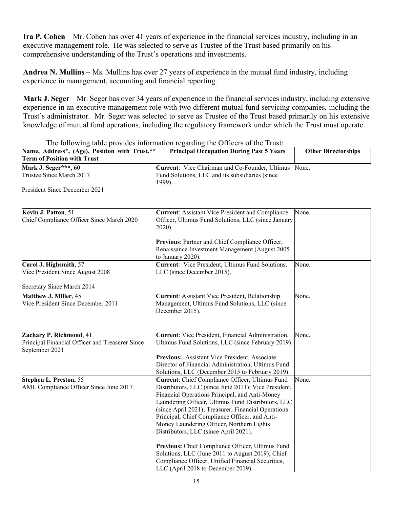**Ira P. Cohen** – Mr. Cohen has over 41 years of experience in the financial services industry, including in an executive management role. He was selected to serve as Trustee of the Trust based primarily on his comprehensive understanding of the Trust's operations and investments.

**Andrea N. Mullins** – Ms. Mullins has over 27 years of experience in the mutual fund industry, including experience in management, accounting and financial reporting.

**Mark J. Seger** – Mr. Seger has over 34 years of experience in the financial services industry, including extensive experience in an executive management role with two different mutual fund servicing companies, including the Trust's administrator. Mr. Seger was selected to serve as Trustee of the Trust based primarily on his extensive knowledge of mutual fund operations, including the regulatory framework under which the Trust must operate.

| Name, Address*, (Age), Position with Trust,**                     | The following table provides information regarding the Officers of the Trust:<br><b>Principal Occupation During Past 5 Years</b>                                                                                                                                                                                                                                                                               | <b>Other Directorships</b> |
|-------------------------------------------------------------------|----------------------------------------------------------------------------------------------------------------------------------------------------------------------------------------------------------------------------------------------------------------------------------------------------------------------------------------------------------------------------------------------------------------|----------------------------|
| <b>Term of Position with Trust</b>                                |                                                                                                                                                                                                                                                                                                                                                                                                                |                            |
| Mark J. Seger***, 60                                              | Current: Vice Chairman and Co-Founder, Ultimus None.                                                                                                                                                                                                                                                                                                                                                           |                            |
| Trustee Since March 2017                                          | Fund Solutions, LLC and its subsidiaries (since<br>1999).                                                                                                                                                                                                                                                                                                                                                      |                            |
| President Since December 2021                                     |                                                                                                                                                                                                                                                                                                                                                                                                                |                            |
| Kevin J. Patton, 51                                               | Current: Assistant Vice President and Compliance                                                                                                                                                                                                                                                                                                                                                               | None.                      |
| Chief Compliance Officer Since March 2020                         | Officer, Ultimus Fund Solutions, LLC (since January<br>2020).                                                                                                                                                                                                                                                                                                                                                  |                            |
|                                                                   | Previous: Partner and Chief Compliance Officer,<br>Renaissance Investment Management (August 2005<br>to January 2020).                                                                                                                                                                                                                                                                                         |                            |
| Carol J. Highsmith, 57<br>Vice President Since August 2008        | Current: Vice President, Ultimus Fund Solutions,<br>LLC (since December 2015).                                                                                                                                                                                                                                                                                                                                 | None.                      |
| Secretary Since March 2014                                        |                                                                                                                                                                                                                                                                                                                                                                                                                |                            |
| Matthew J. Miller, 45<br>Vice President Since December 2011       | Current: Assistant Vice President, Relationship<br>Management, Ultimus Fund Solutions, LLC (since<br>December 2015).                                                                                                                                                                                                                                                                                           | None.                      |
| Zachary P. Richmond, 41                                           | <b>Current:</b> Vice President, Financial Administration,                                                                                                                                                                                                                                                                                                                                                      | None.                      |
| Principal Financial Officer and Treasurer Since<br>September 2021 | Ultimus Fund Solutions, LLC (since February 2019).                                                                                                                                                                                                                                                                                                                                                             |                            |
|                                                                   | Previous: Assistant Vice President, Associate                                                                                                                                                                                                                                                                                                                                                                  |                            |
|                                                                   | Director of Financial Administration, Ultimus Fund<br>Solutions, LLC (December 2015 to February 2019).                                                                                                                                                                                                                                                                                                         |                            |
| Stephen L. Preston, 55<br>AML Compliance Officer Since June 2017  | Current: Chief Compliance Officer, Ultimus Fund<br>Distributors, LLC (since June 2011); Vice President,<br>Financial Operations Principal, and Anti-Money<br>Laundering Officer, Ultimus Fund Distributors, LLC<br>(since April 2021); Treasurer, Financial Operations<br>Principal, Chief Compliance Officer, and Anti-<br>Money Laundering Officer, Northern Lights<br>Distributors, LLC (since April 2021). | None.                      |
|                                                                   | Previous: Chief Compliance Officer, Ultimus Fund<br>Solutions, LLC (June 2011 to August 2019); Chief<br>Compliance Officer, Unified Financial Securities,<br>LLC (April 2018 to December 2019).                                                                                                                                                                                                                |                            |

The following table provides information regarding the Officers of the Trust: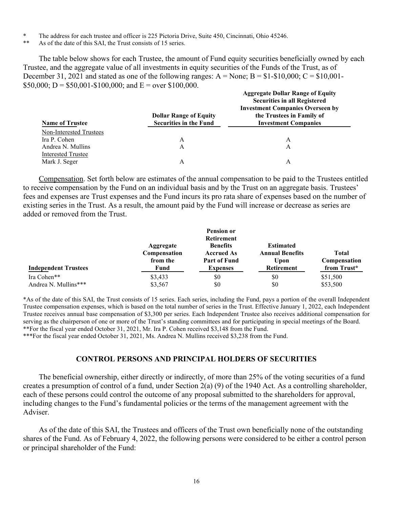- \* The address for each trustee and officer is 225 Pictoria Drive, Suite 450, Cincinnati, Ohio 45246.
- As of the date of this SAI, the Trust consists of 15 series.

The table below shows for each Trustee, the amount of Fund equity securities beneficially owned by each Trustee, and the aggregate value of all investments in equity securities of the Funds of the Trust, as of December 31, 2021 and stated as one of the following ranges:  $A = None$ ;  $B = $1-$10,000$ ;  $C = $10,001$ -\$50,000; D = \$50,001-\$100,000; and E = over \$100,000. **Aggregate Dollar Range of Equity**

| <b>Name of Trustee</b>  | <b>Dollar Range of Equity</b><br><b>Securities in the Fund</b> | Aggregate Dollar Range of Equity<br><b>Securities in all Registered</b><br><b>Investment Companies Overseen by</b><br>the Trustees in Family of<br><b>Investment Companies</b> |
|-------------------------|----------------------------------------------------------------|--------------------------------------------------------------------------------------------------------------------------------------------------------------------------------|
|                         |                                                                |                                                                                                                                                                                |
| Non-Interested Trustees |                                                                |                                                                                                                                                                                |
| Ira P. Cohen            | A                                                              | A                                                                                                                                                                              |
| Andrea N. Mullins       | A                                                              | А                                                                                                                                                                              |
| Interested Trustee      |                                                                |                                                                                                                                                                                |
| Mark J. Seger           |                                                                | А                                                                                                                                                                              |

Compensation. Set forth below are estimates of the annual compensation to be paid to the Trustees entitled to receive compensation by the Fund on an individual basis and by the Trust on an aggregate basis. Trustees' fees and expenses are Trust expenses and the Fund incurs its pro rata share of expenses based on the number of existing series in the Trust. As a result, the amount paid by the Fund will increase or decrease as series are added or removed from the Trust.

|                             |                                       | <b>Pension or</b><br><b>Retirement</b>                      |                                                    |                              |
|-----------------------------|---------------------------------------|-------------------------------------------------------------|----------------------------------------------------|------------------------------|
|                             | Aggregate<br>Compensation<br>from the | <b>Benefits</b><br><b>Accrued As</b><br><b>Part of Fund</b> | <b>Estimated</b><br><b>Annual Benefits</b><br>Upon | <b>Total</b><br>Compensation |
| <b>Independent Trustees</b> | Fund                                  | <b>Expenses</b>                                             | <b>Retirement</b>                                  | from Trust*                  |
| Ira Cohen**                 | \$3,433                               | \$0                                                         | \$0                                                | \$51,500                     |
| Andrea N. Mullins***        | \$3,567                               | \$0                                                         | \$0                                                | \$53,500                     |

\*As of the date of this SAI, the Trust consists of 15 series. Each series, including the Fund, pays a portion of the overall Independent Trustee compensation expenses, which is based on the total number of series in the Trust. Effective January 1, 2022, each Independent Trustee receives annual base compensation of \$3,300 per series. Each Independent Trustee also receives additional compensation for serving as the chairperson of one or more of the Trust's standing committees and for participating in special meetings of the Board. \*\*For the fiscal year ended October 31, 2021, Mr. Ira P. Cohen received \$3,148 from the Fund.

\*\*\*For the fiscal year ended October 31, 2021, Ms. Andrea N. Mullins received \$3,238 from the Fund.

#### **CONTROL PERSONS AND PRINCIPAL HOLDERS OF SECURITIES**

<span id="page-17-0"></span>The beneficial ownership, either directly or indirectly, of more than 25% of the voting securities of a fund creates a presumption of control of a fund, under Section 2(a) (9) of the 1940 Act. As a controlling shareholder, each of these persons could control the outcome of any proposal submitted to the shareholders for approval, including changes to the Fund's fundamental policies or the terms of the management agreement with the Adviser.

As of the date of this SAI, the Trustees and officers of the Trust own beneficially none of the outstanding shares of the Fund. As of February 4, 2022, the following persons were considered to be either a control person or principal shareholder of the Fund: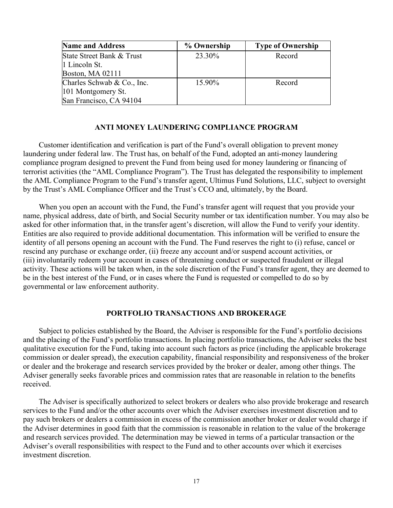| <b>Name and Address</b>    | % Ownership | <b>Type of Ownership</b> |
|----------------------------|-------------|--------------------------|
| State Street Bank & Trust  | 23.30%      | Record                   |
| 1 Lincoln St.              |             |                          |
| Boston, MA 02111           |             |                          |
| Charles Schwab & Co., Inc. | 15.90%      | Record                   |
| 101 Montgomery St.         |             |                          |
| San Francisco, CA 94104    |             |                          |

#### **ANTI MONEY LAUNDERING COMPLIANCE PROGRAM**

<span id="page-18-0"></span>Customer identification and verification is part of the Fund's overall obligation to prevent money laundering under federal law. The Trust has, on behalf of the Fund, adopted an anti-money laundering compliance program designed to prevent the Fund from being used for money laundering or financing of terrorist activities (the "AML Compliance Program"). The Trust has delegated the responsibility to implement the AML Compliance Program to the Fund's transfer agent, Ultimus Fund Solutions, LLC, subject to oversight by the Trust's AML Compliance Officer and the Trust's CCO and, ultimately, by the Board.

When you open an account with the Fund, the Fund's transfer agent will request that you provide your name, physical address, date of birth, and Social Security number or tax identification number. You may also be asked for other information that, in the transfer agent's discretion, will allow the Fund to verify your identity. Entities are also required to provide additional documentation. This information will be verified to ensure the identity of all persons opening an account with the Fund. The Fund reserves the right to (i) refuse, cancel or rescind any purchase or exchange order, (ii) freeze any account and/or suspend account activities, or (iii) involuntarily redeem your account in cases of threatening conduct or suspected fraudulent or illegal activity. These actions will be taken when, in the sole discretion of the Fund's transfer agent, they are deemed to be in the best interest of the Fund, or in cases where the Fund is requested or compelled to do so by governmental or law enforcement authority.

#### **PORTFOLIO TRANSACTIONS AND BROKERAGE**

<span id="page-18-1"></span>Subject to policies established by the Board, the Adviser is responsible for the Fund's portfolio decisions and the placing of the Fund's portfolio transactions. In placing portfolio transactions, the Adviser seeks the best qualitative execution for the Fund, taking into account such factors as price (including the applicable brokerage commission or dealer spread), the execution capability, financial responsibility and responsiveness of the broker or dealer and the brokerage and research services provided by the broker or dealer, among other things. The Adviser generally seeks favorable prices and commission rates that are reasonable in relation to the benefits received.

The Adviser is specifically authorized to select brokers or dealers who also provide brokerage and research services to the Fund and/or the other accounts over which the Adviser exercises investment discretion and to pay such brokers or dealers a commission in excess of the commission another broker or dealer would charge if the Adviser determines in good faith that the commission is reasonable in relation to the value of the brokerage and research services provided. The determination may be viewed in terms of a particular transaction or the Adviser's overall responsibilities with respect to the Fund and to other accounts over which it exercises investment discretion.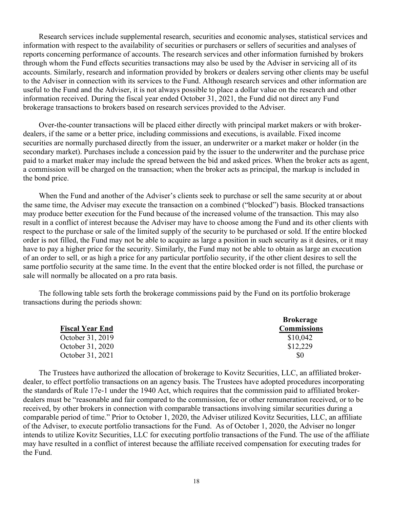Research services include supplemental research, securities and economic analyses, statistical services and information with respect to the availability of securities or purchasers or sellers of securities and analyses of reports concerning performance of accounts. The research services and other information furnished by brokers through whom the Fund effects securities transactions may also be used by the Adviser in servicing all of its accounts. Similarly, research and information provided by brokers or dealers serving other clients may be useful to the Adviser in connection with its services to the Fund. Although research services and other information are useful to the Fund and the Adviser, it is not always possible to place a dollar value on the research and other information received. During the fiscal year ended October 31, 2021, the Fund did not direct any Fund brokerage transactions to brokers based on research services provided to the Adviser.

Over-the-counter transactions will be placed either directly with principal market makers or with brokerdealers, if the same or a better price, including commissions and executions, is available. Fixed income securities are normally purchased directly from the issuer, an underwriter or a market maker or holder (in the secondary market). Purchases include a concession paid by the issuer to the underwriter and the purchase price paid to a market maker may include the spread between the bid and asked prices. When the broker acts as agent, a commission will be charged on the transaction; when the broker acts as principal, the markup is included in the bond price.

When the Fund and another of the Adviser's clients seek to purchase or sell the same security at or about the same time, the Adviser may execute the transaction on a combined ("blocked") basis. Blocked transactions may produce better execution for the Fund because of the increased volume of the transaction. This may also result in a conflict of interest because the Adviser may have to choose among the Fund and its other clients with respect to the purchase or sale of the limited supply of the security to be purchased or sold. If the entire blocked order is not filled, the Fund may not be able to acquire as large a position in such security as it desires, or it may have to pay a higher price for the security. Similarly, the Fund may not be able to obtain as large an execution of an order to sell, or as high a price for any particular portfolio security, if the other client desires to sell the same portfolio security at the same time. In the event that the entire blocked order is not filled, the purchase or sale will normally be allocated on a pro rata basis.

The following table sets forth the brokerage commissions paid by the Fund on its portfolio brokerage transactions during the periods shown:

|                        | <b>Brokerage</b>   |
|------------------------|--------------------|
| <b>Fiscal Year End</b> | <b>Commissions</b> |
| October 31, 2019       | \$10,042           |
| October 31, 2020       | \$12,229           |
| October 31, 2021       | <sup>SO</sup>      |

The Trustees have authorized the allocation of brokerage to Kovitz Securities, LLC, an affiliated brokerdealer, to effect portfolio transactions on an agency basis. The Trustees have adopted procedures incorporating the standards of Rule 17e-1 under the 1940 Act, which requires that the commission paid to affiliated brokerdealers must be "reasonable and fair compared to the commission, fee or other remuneration received, or to be received, by other brokers in connection with comparable transactions involving similar securities during a comparable period of time." Prior to October 1, 2020, the Adviser utilized Kovitz Securities, LLC, an affiliate of the Adviser, to execute portfolio transactions for the Fund. As of October 1, 2020, the Adviser no longer intends to utilize Kovitz Securities, LLC for executing portfolio transactions of the Fund. The use of the affiliate may have resulted in a conflict of interest because the affiliate received compensation for executing trades for the Fund.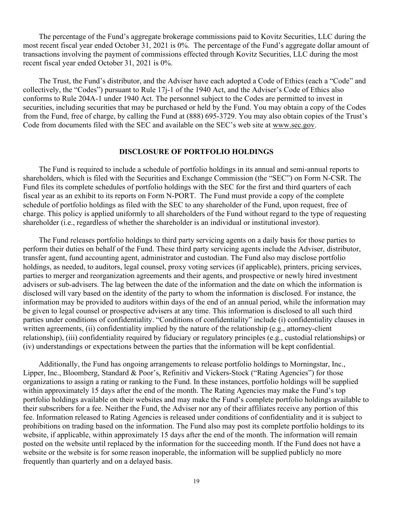The percentage of the Fund's aggregate brokerage commissions paid to Kovitz Securities, LLC during the most recent fiscal year ended October 31, 2021 is 0%. The percentage of the Fund's aggregate dollar amount of transactions involving the payment of commissions effected through Kovitz Securities, LLC during the most recent fiscal year ended October 31, 2021 is 0%.

The Trust, the Fund's distributor, and the Adviser have each adopted a Code of Ethics (each a "Code" and collectively, the "Codes") pursuant to Rule 17j-1 of the 1940 Act, and the Adviser's Code of Ethics also conforms to Rule 204A-1 under 1940 Act. The personnel subject to the Codes are permitted to invest in securities, including securities that may be purchased or held by the Fund. You may obtain a copy of the Codes from the Fund, free of charge, by calling the Fund at (888) 695-3729. You may also obtain copies of the Trust's Code from documents filed with the SEC and available on the SEC's web site at www.sec.gov.

#### **DISCLOSURE OF PORTFOLIO HOLDINGS**

<span id="page-20-0"></span>The Fund is required to include a schedule of portfolio holdings in its annual and semi-annual reports to shareholders, which is filed with the Securities and Exchange Commission (the "SEC") on Form N-CSR. The Fund files its complete schedules of portfolio holdings with the SEC for the first and third quarters of each fiscal year as an exhibit to its reports on Form N-PORT. The Fund must provide a copy of the complete schedule of portfolio holdings as filed with the SEC to any shareholder of the Fund, upon request, free of charge. This policy is applied uniformly to all shareholders of the Fund without regard to the type of requesting shareholder (i.e., regardless of whether the shareholder is an individual or institutional investor).

The Fund releases portfolio holdings to third party servicing agents on a daily basis for those parties to perform their duties on behalf of the Fund. These third party servicing agents include the Adviser, distributor, transfer agent, fund accounting agent, administrator and custodian. The Fund also may disclose portfolio holdings, as needed, to auditors, legal counsel, proxy voting services (if applicable), printers, pricing services, parties to merger and reorganization agreements and their agents, and prospective or newly hired investment advisers or sub-advisers. The lag between the date of the information and the date on which the information is disclosed will vary based on the identity of the party to whom the information is disclosed. For instance, the information may be provided to auditors within days of the end of an annual period, while the information may be given to legal counsel or prospective advisers at any time. This information is disclosed to all such third parties under conditions of confidentiality. "Conditions of confidentiality" include (i) confidentiality clauses in written agreements, (ii) confidentiality implied by the nature of the relationship (e.g., attorney-client relationship), (iii) confidentiality required by fiduciary or regulatory principles (e.g., custodial relationships) or (iv) understandings or expectations between the parties that the information will be kept confidential.

Additionally, the Fund has ongoing arrangements to release portfolio holdings to Morningstar, Inc., Lipper, Inc., Bloomberg, Standard & Poor's, Refinitiv and Vickers-Stock ("Rating Agencies") for those organizations to assign a rating or ranking to the Fund. In these instances, portfolio holdings will be supplied within approximately 15 days after the end of the month. The Rating Agencies may make the Fund's top portfolio holdings available on their websites and may make the Fund's complete portfolio holdings available to their subscribers for a fee. Neither the Fund, the Adviser nor any of their affiliates receive any portion of this fee. Information released to Rating Agencies is released under conditions of confidentiality and it is subject to prohibitions on trading based on the information. The Fund also may post its complete portfolio holdings to its website, if applicable, within approximately 15 days after the end of the month. The information will remain posted on the website until replaced by the information for the succeeding month. If the Fund does not have a website or the website is for some reason inoperable, the information will be supplied publicly no more frequently than quarterly and on a delayed basis.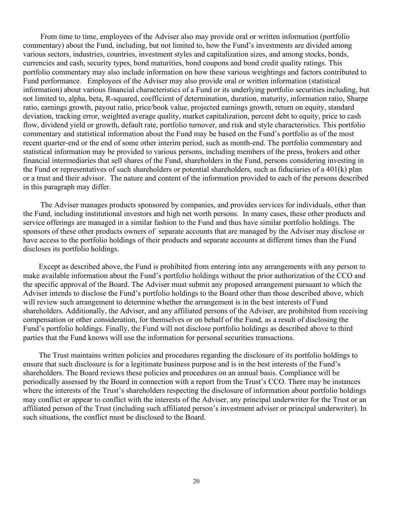From time to time, employees of the Adviser also may provide oral or written information (portfolio commentary) about the Fund, including, but not limited to, how the Fund's investments are divided among various sectors, industries, countries, investment styles and capitalization sizes, and among stocks, bonds, currencies and cash, security types, bond maturities, bond coupons and bond credit quality ratings. This portfolio commentary may also include information on how these various weightings and factors contributed to Fund performance. Employees of the Adviser may also provide oral or written information (statistical information) about various financial characteristics of a Fund or its underlying portfolio securities including, but not limited to, alpha, beta, R-squared, coefficient of determination, duration, maturity, information ratio, Sharpe ratio, earnings growth, payout ratio, price/book value, projected earnings growth, return on equity, standard deviation, tracking error, weighted average quality, market capitalization, percent debt to equity, price to cash flow, dividend yield or growth, default rate, portfolio turnover, and risk and style characteristics. This portfolio commentary and statistical information about the Fund may be based on the Fund's portfolio as of the most recent quarter-end or the end of some other interim period, such as month-end. The portfolio commentary and statistical information may be provided to various persons, including members of the press, brokers and other financial intermediaries that sell shares of the Fund, shareholders in the Fund, persons considering investing in the Fund or representatives of such shareholders or potential shareholders, such as fiduciaries of a 401(k) plan or a trust and their advisor. The nature and content of the information provided to each of the persons described in this paragraph may differ.

The Adviser manages products sponsored by companies, and provides services for individuals, other than the Fund, including institutional investors and high net worth persons. In many cases, these other products and service offerings are managed in a similar fashion to the Fund and thus have similar portfolio holdings. The sponsors of these other products owners of separate accounts that are managed by the Adviser may disclose or have access to the portfolio holdings of their products and separate accounts at different times than the Fund discloses its portfolio holdings.

Except as described above, the Fund is prohibited from entering into any arrangements with any person to make available information about the Fund's portfolio holdings without the prior authorization of the CCO and the specific approval of the Board. The Adviser must submit any proposed arrangement pursuant to which the Adviser intends to disclose the Fund's portfolio holdings to the Board other than those described above, which will review such arrangement to determine whether the arrangement is in the best interests of Fund shareholders. Additionally, the Adviser, and any affiliated persons of the Adviser, are prohibited from receiving compensation or other consideration, for themselves or on behalf of the Fund, as a result of disclosing the Fund's portfolio holdings. Finally, the Fund will not disclose portfolio holdings as described above to third parties that the Fund knows will use the information for personal securities transactions.

<span id="page-21-0"></span>The Trust maintains written policies and procedures regarding the disclosure of its portfolio holdings to ensure that such disclosure is for a legitimate business purpose and is in the best interests of the Fund's shareholders. The Board reviews these policies and procedures on an annual basis. Compliance will be periodically assessed by the Board in connection with a report from the Trust's CCO. There may be instances where the interests of the Trust's shareholders respecting the disclosure of information about portfolio holdings may conflict or appear to conflict with the interests of the Adviser, any principal underwriter for the Trust or an affiliated person of the Trust (including such affiliated person's investment adviser or principal underwriter). In such situations, the conflict must be disclosed to the Board.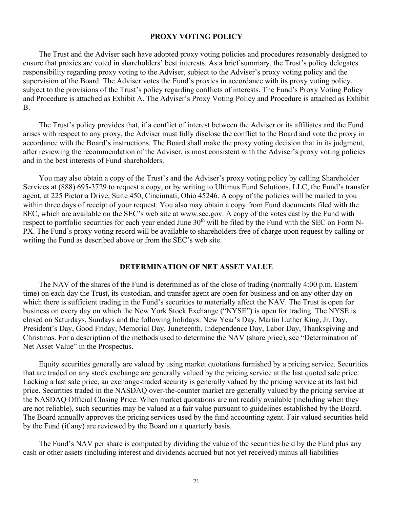#### **PROXY VOTING POLICY**

The Trust and the Adviser each have adopted proxy voting policies and procedures reasonably designed to ensure that proxies are voted in shareholders' best interests. As a brief summary, the Trust's policy delegates responsibility regarding proxy voting to the Adviser, subject to the Adviser's proxy voting policy and the supervision of the Board. The Adviser votes the Fund's proxies in accordance with its proxy voting policy, subject to the provisions of the Trust's policy regarding conflicts of interests. The Fund's Proxy Voting Policy and Procedure is attached as Exhibit A. The Adviser's Proxy Voting Policy and Procedure is attached as Exhibit B.

The Trust's policy provides that, if a conflict of interest between the Adviser or its affiliates and the Fund arises with respect to any proxy, the Adviser must fully disclose the conflict to the Board and vote the proxy in accordance with the Board's instructions. The Board shall make the proxy voting decision that in its judgment, after reviewing the recommendation of the Adviser, is most consistent with the Adviser's proxy voting policies and in the best interests of Fund shareholders.

You may also obtain a copy of the Trust's and the Adviser's proxy voting policy by calling Shareholder Services at (888) 695-3729 to request a copy, or by writing to Ultimus Fund Solutions, LLC, the Fund's transfer agent, at 225 Pictoria Drive, Suite 450, Cincinnati, Ohio 45246. A copy of the policies will be mailed to you within three days of receipt of your request. You also may obtain a copy from Fund documents filed with the SEC, which are available on the SEC's web site at www.sec.gov. A copy of the votes cast by the Fund with respect to portfolio securities for each year ended June 30<sup>th</sup> will be filed by the Fund with the SEC on Form N-PX. The Fund's proxy voting record will be available to shareholders free of charge upon request by calling or writing the Fund as described above or from the SEC's web site.

#### **DETERMINATION OF NET ASSET VALUE**

<span id="page-22-0"></span>The NAV of the shares of the Fund is determined as of the close of trading (normally 4:00 p.m. Eastern time) on each day the Trust, its custodian, and transfer agent are open for business and on any other day on which there is sufficient trading in the Fund's securities to materially affect the NAV. The Trust is open for business on every day on which the New York Stock Exchange ("NYSE") is open for trading. The NYSE is closed on Saturdays, Sundays and the following holidays: New Year's Day, Martin Luther King, Jr. Day, President's Day, Good Friday, Memorial Day, Juneteenth, Independence Day, Labor Day, Thanksgiving and Christmas. For a description of the methods used to determine the NAV (share price), see "Determination of Net Asset Value" in the Prospectus.

Equity securities generally are valued by using market quotations furnished by a pricing service. Securities that are traded on any stock exchange are generally valued by the pricing service at the last quoted sale price. Lacking a last sale price, an exchange-traded security is generally valued by the pricing service at its last bid price. Securities traded in the NASDAQ over-the-counter market are generally valued by the pricing service at the NASDAQ Official Closing Price. When market quotations are not readily available (including when they are not reliable), such securities may be valued at a fair value pursuant to guidelines established by the Board. The Board annually approves the pricing services used by the fund accounting agent. Fair valued securities held by the Fund (if any) are reviewed by the Board on a quarterly basis.

The Fund's NAV per share is computed by dividing the value of the securities held by the Fund plus any cash or other assets (including interest and dividends accrued but not yet received) minus all liabilities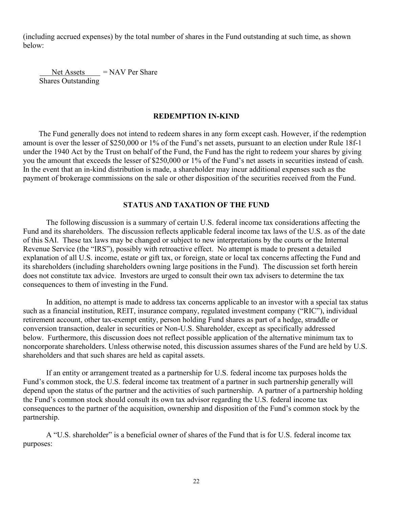(including accrued expenses) by the total number of shares in the Fund outstanding at such time, as shown below:

 $Net \xrightarrow{Assets} = NAV Per Share$ Shares Outstanding

## **REDEMPTION IN-KIND**

<span id="page-23-0"></span>The Fund generally does not intend to redeem shares in any form except cash. However, if the redemption amount is over the lesser of \$250,000 or 1% of the Fund's net assets, pursuant to an election under Rule 18f-1 under the 1940 Act by the Trust on behalf of the Fund, the Fund has the right to redeem your shares by giving you the amount that exceeds the lesser of \$250,000 or 1% of the Fund's net assets in securities instead of cash. In the event that an in-kind distribution is made, a shareholder may incur additional expenses such as the payment of brokerage commissions on the sale or other disposition of the securities received from the Fund.

### **STATUS AND TAXATION OF THE FUND**

<span id="page-23-1"></span>The following discussion is a summary of certain U.S. federal income tax considerations affecting the Fund and its shareholders. The discussion reflects applicable federal income tax laws of the U.S. as of the date of this SAI. These tax laws may be changed or subject to new interpretations by the courts or the Internal Revenue Service (the "IRS"), possibly with retroactive effect. No attempt is made to present a detailed explanation of all U.S. income, estate or gift tax, or foreign, state or local tax concerns affecting the Fund and its shareholders (including shareholders owning large positions in the Fund). The discussion set forth herein does not constitute tax advice. Investors are urged to consult their own tax advisers to determine the tax consequences to them of investing in the Fund.

In addition, no attempt is made to address tax concerns applicable to an investor with a special tax status such as a financial institution, REIT, insurance company, regulated investment company ("RIC"), individual retirement account, other tax-exempt entity, person holding Fund shares as part of a hedge, straddle or conversion transaction, dealer in securities or Non-U.S. Shareholder, except as specifically addressed below. Furthermore, this discussion does not reflect possible application of the alternative minimum tax to noncorporate shareholders. Unless otherwise noted, this discussion assumes shares of the Fund are held by U.S. shareholders and that such shares are held as capital assets.

If an entity or arrangement treated as a partnership for U.S. federal income tax purposes holds the Fund's common stock, the U.S. federal income tax treatment of a partner in such partnership generally will depend upon the status of the partner and the activities of such partnership. A partner of a partnership holding the Fund's common stock should consult its own tax advisor regarding the U.S. federal income tax consequences to the partner of the acquisition, ownership and disposition of the Fund's common stock by the partnership.

A "U.S. shareholder" is a beneficial owner of shares of the Fund that is for U.S. federal income tax purposes: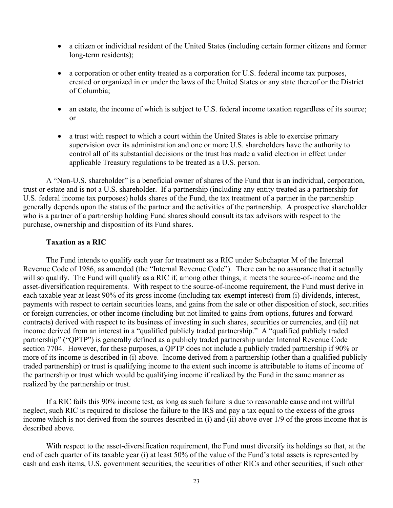- a citizen or individual resident of the United States (including certain former citizens and former long-term residents);
- a corporation or other entity treated as a corporation for U.S. federal income tax purposes, created or organized in or under the laws of the United States or any state thereof or the District of Columbia;
- an estate, the income of which is subject to U.S. federal income taxation regardless of its source; or
- a trust with respect to which a court within the United States is able to exercise primary supervision over its administration and one or more U.S. shareholders have the authority to control all of its substantial decisions or the trust has made a valid election in effect under applicable Treasury regulations to be treated as a U.S. person.

A "Non-U.S. shareholder" is a beneficial owner of shares of the Fund that is an individual, corporation, trust or estate and is not a U.S. shareholder. If a partnership (including any entity treated as a partnership for U.S. federal income tax purposes) holds shares of the Fund, the tax treatment of a partner in the partnership generally depends upon the status of the partner and the activities of the partnership. A prospective shareholder who is a partner of a partnership holding Fund shares should consult its tax advisors with respect to the purchase, ownership and disposition of its Fund shares.

#### **Taxation as a RIC**

The Fund intends to qualify each year for treatment as a RIC under Subchapter M of the Internal Revenue Code of 1986, as amended (the "Internal Revenue Code"). There can be no assurance that it actually will so qualify. The Fund will qualify as a RIC if, among other things, it meets the source-of-income and the asset-diversification requirements. With respect to the source-of-income requirement, the Fund must derive in each taxable year at least 90% of its gross income (including tax-exempt interest) from (i) dividends, interest, payments with respect to certain securities loans, and gains from the sale or other disposition of stock, securities or foreign currencies, or other income (including but not limited to gains from options, futures and forward contracts) derived with respect to its business of investing in such shares, securities or currencies, and (ii) net income derived from an interest in a "qualified publicly traded partnership." A "qualified publicly traded partnership" ("QPTP") is generally defined as a publicly traded partnership under Internal Revenue Code section 7704. However, for these purposes, a QPTP does not include a publicly traded partnership if 90% or more of its income is described in (i) above. Income derived from a partnership (other than a qualified publicly traded partnership) or trust is qualifying income to the extent such income is attributable to items of income of the partnership or trust which would be qualifying income if realized by the Fund in the same manner as realized by the partnership or trust.

If a RIC fails this 90% income test, as long as such failure is due to reasonable cause and not willful neglect, such RIC is required to disclose the failure to the IRS and pay a tax equal to the excess of the gross income which is not derived from the sources described in (i) and (ii) above over 1/9 of the gross income that is described above.

With respect to the asset-diversification requirement, the Fund must diversify its holdings so that, at the end of each quarter of its taxable year (i) at least 50% of the value of the Fund's total assets is represented by cash and cash items, U.S. government securities, the securities of other RICs and other securities, if such other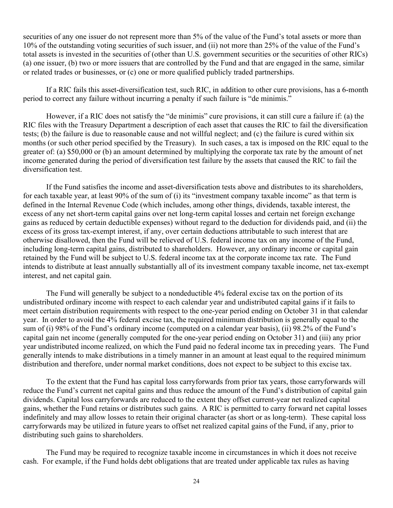securities of any one issuer do not represent more than 5% of the value of the Fund's total assets or more than 10% of the outstanding voting securities of such issuer, and (ii) not more than 25% of the value of the Fund's total assets is invested in the securities of (other than U.S. government securities or the securities of other RICs) (a) one issuer, (b) two or more issuers that are controlled by the Fund and that are engaged in the same, similar or related trades or businesses, or (c) one or more qualified publicly traded partnerships.

If a RIC fails this asset-diversification test, such RIC, in addition to other cure provisions, has a 6-month period to correct any failure without incurring a penalty if such failure is "de minimis."

However, if a RIC does not satisfy the "de minimis" cure provisions, it can still cure a failure if: (a) the RIC files with the Treasury Department a description of each asset that causes the RIC to fail the diversification tests; (b) the failure is due to reasonable cause and not willful neglect; and (c) the failure is cured within six months (or such other period specified by the Treasury). In such cases, a tax is imposed on the RIC equal to the greater of: (a) \$50,000 or (b) an amount determined by multiplying the corporate tax rate by the amount of net income generated during the period of diversification test failure by the assets that caused the RIC to fail the diversification test.

If the Fund satisfies the income and asset-diversification tests above and distributes to its shareholders, for each taxable year, at least 90% of the sum of (i) its "investment company taxable income" as that term is defined in the Internal Revenue Code (which includes, among other things, dividends, taxable interest, the excess of any net short-term capital gains over net long-term capital losses and certain net foreign exchange gains as reduced by certain deductible expenses) without regard to the deduction for dividends paid, and (ii) the excess of its gross tax-exempt interest, if any, over certain deductions attributable to such interest that are otherwise disallowed, then the Fund will be relieved of U.S. federal income tax on any income of the Fund, including long-term capital gains, distributed to shareholders. However, any ordinary income or capital gain retained by the Fund will be subject to U.S. federal income tax at the corporate income tax rate. The Fund intends to distribute at least annually substantially all of its investment company taxable income, net tax-exempt interest, and net capital gain.

The Fund will generally be subject to a nondeductible 4% federal excise tax on the portion of its undistributed ordinary income with respect to each calendar year and undistributed capital gains if it fails to meet certain distribution requirements with respect to the one-year period ending on October 31 in that calendar year. In order to avoid the 4% federal excise tax, the required minimum distribution is generally equal to the sum of (i) 98% of the Fund's ordinary income (computed on a calendar year basis), (ii) 98.2% of the Fund's capital gain net income (generally computed for the one-year period ending on October 31) and (iii) any prior year undistributed income realized, on which the Fund paid no federal income tax in preceding years. The Fund generally intends to make distributions in a timely manner in an amount at least equal to the required minimum distribution and therefore, under normal market conditions, does not expect to be subject to this excise tax.

To the extent that the Fund has capital loss carryforwards from prior tax years, those carryforwards will reduce the Fund's current net capital gains and thus reduce the amount of the Fund's distribution of capital gain dividends. Capital loss carryforwards are reduced to the extent they offset current-year net realized capital gains, whether the Fund retains or distributes such gains. A RIC is permitted to carry forward net capital losses indefinitely and may allow losses to retain their original character (as short or as long-term). These capital loss carryforwards may be utilized in future years to offset net realized capital gains of the Fund, if any, prior to distributing such gains to shareholders.

The Fund may be required to recognize taxable income in circumstances in which it does not receive cash. For example, if the Fund holds debt obligations that are treated under applicable tax rules as having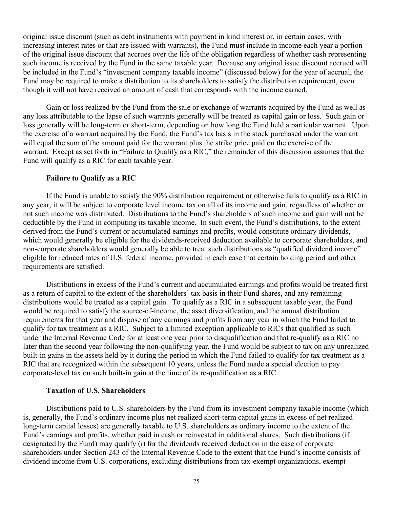original issue discount (such as debt instruments with payment in kind interest or, in certain cases, with increasing interest rates or that are issued with warrants), the Fund must include in income each year a portion of the original issue discount that accrues over the life of the obligation regardless of whether cash representing such income is received by the Fund in the same taxable year. Because any original issue discount accrued will be included in the Fund's "investment company taxable income" (discussed below) for the year of accrual, the Fund may be required to make a distribution to its shareholders to satisfy the distribution requirement, even though it will not have received an amount of cash that corresponds with the income earned.

Gain or loss realized by the Fund from the sale or exchange of warrants acquired by the Fund as well as any loss attributable to the lapse of such warrants generally will be treated as capital gain or loss. Such gain or loss generally will be long-term or short-term, depending on how long the Fund held a particular warrant. Upon the exercise of a warrant acquired by the Fund, the Fund's tax basis in the stock purchased under the warrant will equal the sum of the amount paid for the warrant plus the strike price paid on the exercise of the warrant. Except as set forth in "Failure to Qualify as a RIC," the remainder of this discussion assumes that the Fund will qualify as a RIC for each taxable year.

#### **Failure to Qualify as a RIC**

If the Fund is unable to satisfy the 90% distribution requirement or otherwise fails to qualify as a RIC in any year, it will be subject to corporate level income tax on all of its income and gain, regardless of whether or not such income was distributed. Distributions to the Fund's shareholders of such income and gain will not be deductible by the Fund in computing its taxable income. In such event, the Fund's distributions, to the extent derived from the Fund's current or accumulated earnings and profits, would constitute ordinary dividends, which would generally be eligible for the dividends-received deduction available to corporate shareholders, and non-corporate shareholders would generally be able to treat such distributions as "qualified dividend income" eligible for reduced rates of U.S. federal income, provided in each case that certain holding period and other requirements are satisfied.

Distributions in excess of the Fund's current and accumulated earnings and profits would be treated first as a return of capital to the extent of the shareholders' tax basis in their Fund shares, and any remaining distributions would be treated as a capital gain. To qualify as a RIC in a subsequent taxable year, the Fund would be required to satisfy the source-of-income, the asset diversification, and the annual distribution requirements for that year and dispose of any earnings and profits from any year in which the Fund failed to qualify for tax treatment as a RIC. Subject to a limited exception applicable to RICs that qualified as such under the Internal Revenue Code for at least one year prior to disqualification and that re-qualify as a RIC no later than the second year following the non-qualifying year, the Fund would be subject to tax on any unrealized built-in gains in the assets held by it during the period in which the Fund failed to qualify for tax treatment as a RIC that are recognized within the subsequent 10 years, unless the Fund made a special election to pay corporate-level tax on such built-in gain at the time of its re-qualification as a RIC.

#### **Taxation of U.S. Shareholders**

Distributions paid to U.S. shareholders by the Fund from its investment company taxable income (which is, generally, the Fund's ordinary income plus net realized short-term capital gains in excess of net realized long-term capital losses) are generally taxable to U.S. shareholders as ordinary income to the extent of the Fund's earnings and profits, whether paid in cash or reinvested in additional shares. Such distributions (if designated by the Fund) may qualify (i) for the dividends received deduction in the case of corporate shareholders under Section 243 of the Internal Revenue Code to the extent that the Fund's income consists of dividend income from U.S. corporations, excluding distributions from tax-exempt organizations, exempt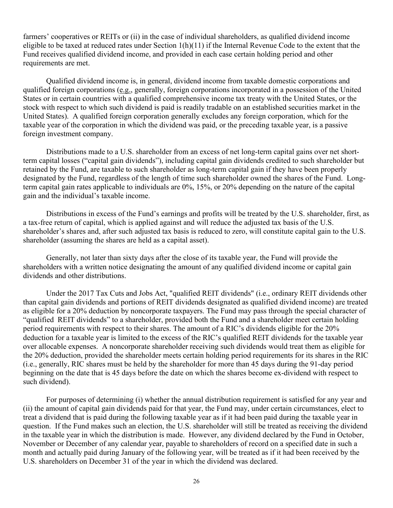farmers' cooperatives or REITs or (ii) in the case of individual shareholders, as qualified dividend income eligible to be taxed at reduced rates under Section  $1(h)(11)$  if the Internal Revenue Code to the extent that the Fund receives qualified dividend income, and provided in each case certain holding period and other requirements are met.

Qualified dividend income is, in general, dividend income from taxable domestic corporations and qualified foreign corporations (e.g., generally, foreign corporations incorporated in a possession of the United States or in certain countries with a qualified comprehensive income tax treaty with the United States, or the stock with respect to which such dividend is paid is readily tradable on an established securities market in the United States). A qualified foreign corporation generally excludes any foreign corporation, which for the taxable year of the corporation in which the dividend was paid, or the preceding taxable year, is a passive foreign investment company.

Distributions made to a U.S. shareholder from an excess of net long-term capital gains over net shortterm capital losses ("capital gain dividends"), including capital gain dividends credited to such shareholder but retained by the Fund, are taxable to such shareholder as long-term capital gain if they have been properly designated by the Fund, regardless of the length of time such shareholder owned the shares of the Fund. Longterm capital gain rates applicable to individuals are 0%, 15%, or 20% depending on the nature of the capital gain and the individual's taxable income.

Distributions in excess of the Fund's earnings and profits will be treated by the U.S. shareholder, first, as a tax-free return of capital, which is applied against and will reduce the adjusted tax basis of the U.S. shareholder's shares and, after such adjusted tax basis is reduced to zero, will constitute capital gain to the U.S. shareholder (assuming the shares are held as a capital asset).

Generally, not later than sixty days after the close of its taxable year, the Fund will provide the shareholders with a written notice designating the amount of any qualified dividend income or capital gain dividends and other distributions.

Under the 2017 Tax Cuts and Jobs Act, "qualified REIT dividends" (i.e., ordinary REIT dividends other than capital gain dividends and portions of REIT dividends designated as qualified dividend income) are treated as eligible for a 20% deduction by noncorporate taxpayers. The Fund may pass through the special character of "qualified REIT dividends" to a shareholder, provided both the Fund and a shareholder meet certain holding period requirements with respect to their shares. The amount of a RIC's dividends eligible for the 20% deduction for a taxable year is limited to the excess of the RIC's qualified REIT dividends for the taxable year over allocable expenses. A noncorporate shareholder receiving such dividends would treat them as eligible for the 20% deduction, provided the shareholder meets certain holding period requirements for its shares in the RIC (i.e., generally, RIC shares must be held by the shareholder for more than 45 days during the 91-day period beginning on the date that is 45 days before the date on which the shares become ex-dividend with respect to such dividend).

For purposes of determining (i) whether the annual distribution requirement is satisfied for any year and (ii) the amount of capital gain dividends paid for that year, the Fund may, under certain circumstances, elect to treat a dividend that is paid during the following taxable year as if it had been paid during the taxable year in question. If the Fund makes such an election, the U.S. shareholder will still be treated as receiving the dividend in the taxable year in which the distribution is made. However, any dividend declared by the Fund in October, November or December of any calendar year, payable to shareholders of record on a specified date in such a month and actually paid during January of the following year, will be treated as if it had been received by the U.S. shareholders on December 31 of the year in which the dividend was declared.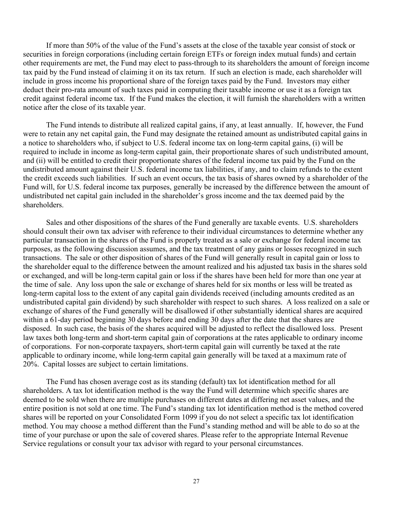If more than 50% of the value of the Fund's assets at the close of the taxable year consist of stock or securities in foreign corporations (including certain foreign ETFs or foreign index mutual funds) and certain other requirements are met, the Fund may elect to pass-through to its shareholders the amount of foreign income tax paid by the Fund instead of claiming it on its tax return. If such an election is made, each shareholder will include in gross income his proportional share of the foreign taxes paid by the Fund. Investors may either deduct their pro-rata amount of such taxes paid in computing their taxable income or use it as a foreign tax credit against federal income tax. If the Fund makes the election, it will furnish the shareholders with a written notice after the close of its taxable year.

The Fund intends to distribute all realized capital gains, if any, at least annually. If, however, the Fund were to retain any net capital gain, the Fund may designate the retained amount as undistributed capital gains in a notice to shareholders who, if subject to U.S. federal income tax on long-term capital gains, (i) will be required to include in income as long-term capital gain, their proportionate shares of such undistributed amount, and (ii) will be entitled to credit their proportionate shares of the federal income tax paid by the Fund on the undistributed amount against their U.S. federal income tax liabilities, if any, and to claim refunds to the extent the credit exceeds such liabilities. If such an event occurs, the tax basis of shares owned by a shareholder of the Fund will, for U.S. federal income tax purposes, generally be increased by the difference between the amount of undistributed net capital gain included in the shareholder's gross income and the tax deemed paid by the shareholders.

Sales and other dispositions of the shares of the Fund generally are taxable events. U.S. shareholders should consult their own tax adviser with reference to their individual circumstances to determine whether any particular transaction in the shares of the Fund is properly treated as a sale or exchange for federal income tax purposes, as the following discussion assumes, and the tax treatment of any gains or losses recognized in such transactions. The sale or other disposition of shares of the Fund will generally result in capital gain or loss to the shareholder equal to the difference between the amount realized and his adjusted tax basis in the shares sold or exchanged, and will be long-term capital gain or loss if the shares have been held for more than one year at the time of sale. Any loss upon the sale or exchange of shares held for six months or less will be treated as long-term capital loss to the extent of any capital gain dividends received (including amounts credited as an undistributed capital gain dividend) by such shareholder with respect to such shares. A loss realized on a sale or exchange of shares of the Fund generally will be disallowed if other substantially identical shares are acquired within a 61-day period beginning 30 days before and ending 30 days after the date that the shares are disposed. In such case, the basis of the shares acquired will be adjusted to reflect the disallowed loss. Present law taxes both long-term and short-term capital gain of corporations at the rates applicable to ordinary income of corporations. For non-corporate taxpayers, short-term capital gain will currently be taxed at the rate applicable to ordinary income, while long-term capital gain generally will be taxed at a maximum rate of 20%. Capital losses are subject to certain limitations.

The Fund has chosen average cost as its standing (default) tax lot identification method for all shareholders. A tax lot identification method is the way the Fund will determine which specific shares are deemed to be sold when there are multiple purchases on different dates at differing net asset values, and the entire position is not sold at one time. The Fund's standing tax lot identification method is the method covered shares will be reported on your Consolidated Form 1099 if you do not select a specific tax lot identification method. You may choose a method different than the Fund's standing method and will be able to do so at the time of your purchase or upon the sale of covered shares. Please refer to the appropriate Internal Revenue Service regulations or consult your tax advisor with regard to your personal circumstances.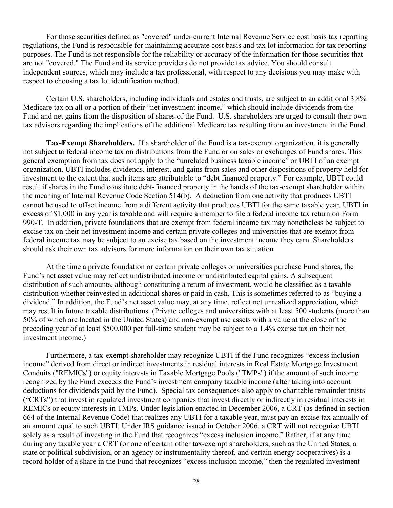For those securities defined as "covered" under current Internal Revenue Service cost basis tax reporting regulations, the Fund is responsible for maintaining accurate cost basis and tax lot information for tax reporting purposes. The Fund is not responsible for the reliability or accuracy of the information for those securities that are not "covered." The Fund and its service providers do not provide tax advice. You should consult independent sources, which may include a tax professional, with respect to any decisions you may make with respect to choosing a tax lot identification method.

Certain U.S. shareholders, including individuals and estates and trusts, are subject to an additional 3.8% Medicare tax on all or a portion of their "net investment income," which should include dividends from the Fund and net gains from the disposition of shares of the Fund. U.S. shareholders are urged to consult their own tax advisors regarding the implications of the additional Medicare tax resulting from an investment in the Fund.

**Tax-Exempt Shareholders.** If a shareholder of the Fund is a tax-exempt organization, it is generally not subject to federal income tax on distributions from the Fund or on sales or exchanges of Fund shares. This general exemption from tax does not apply to the "unrelated business taxable income" or UBTI of an exempt organization. UBTI includes dividends, interest, and gains from sales and other dispositions of property held for investment to the extent that such items are attributable to "debt financed property." For example, UBTI could result if shares in the Fund constitute debt-financed property in the hands of the tax-exempt shareholder within the meaning of Internal Revenue Code Section 514(b). A deduction from one activity that produces UBTI cannot be used to offset income from a different activity that produces UBTI for the same taxable year. UBTI in excess of \$1,000 in any year is taxable and will require a member to file a federal income tax return on Form 990-T. In addition, private foundations that are exempt from federal income tax may nonetheless be subject to excise tax on their net investment income and certain private colleges and universities that are exempt from federal income tax may be subject to an excise tax based on the investment income they earn. Shareholders should ask their own tax advisors for more information on their own tax situation

At the time a private foundation or certain private colleges or universities purchase Fund shares, the Fund's net asset value may reflect undistributed income or undistributed capital gains. A subsequent distribution of such amounts, although constituting a return of investment, would be classified as a taxable distribution whether reinvested in additional shares or paid in cash. This is sometimes referred to as "buying a dividend." In addition, the Fund's net asset value may, at any time, reflect net unrealized appreciation, which may result in future taxable distributions. (Private colleges and universities with at least 500 students (more than 50% of which are located in the United States) and non-exempt use assets with a value at the close of the preceding year of at least \$500,000 per full-time student may be subject to a 1.4% excise tax on their net investment income.)

Furthermore, a tax-exempt shareholder may recognize UBTI if the Fund recognizes "excess inclusion income" derived from direct or indirect investments in residual interests in Real Estate Mortgage Investment Conduits ("REMICs") or equity interests in Taxable Mortgage Pools ("TMPs") if the amount of such income recognized by the Fund exceeds the Fund's investment company taxable income (after taking into account deductions for dividends paid by the Fund). Special tax consequences also apply to charitable remainder trusts ("CRTs") that invest in regulated investment companies that invest directly or indirectly in residual interests in REMICs or equity interests in TMPs. Under legislation enacted in December 2006, a CRT (as defined in section 664 of the Internal Revenue Code) that realizes any UBTI for a taxable year, must pay an excise tax annually of an amount equal to such UBTI. Under IRS guidance issued in October 2006, a CRT will not recognize UBTI solely as a result of investing in the Fund that recognizes "excess inclusion income." Rather, if at any time during any taxable year a CRT (or one of certain other tax-exempt shareholders, such as the United States, a state or political subdivision, or an agency or instrumentality thereof, and certain energy cooperatives) is a record holder of a share in the Fund that recognizes "excess inclusion income," then the regulated investment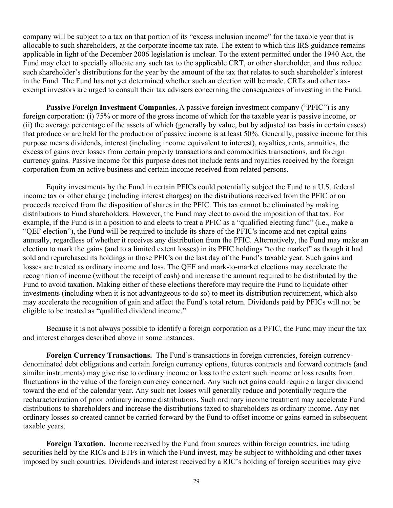company will be subject to a tax on that portion of its "excess inclusion income" for the taxable year that is allocable to such shareholders, at the corporate income tax rate. The extent to which this IRS guidance remains applicable in light of the December 2006 legislation is unclear. To the extent permitted under the 1940 Act, the Fund may elect to specially allocate any such tax to the applicable CRT, or other shareholder, and thus reduce such shareholder's distributions for the year by the amount of the tax that relates to such shareholder's interest in the Fund. The Fund has not yet determined whether such an election will be made. CRTs and other taxexempt investors are urged to consult their tax advisers concerning the consequences of investing in the Fund.

**Passive Foreign Investment Companies.** A passive foreign investment company ("PFIC") is any foreign corporation: (i) 75% or more of the gross income of which for the taxable year is passive income, or (ii) the average percentage of the assets of which (generally by value, but by adjusted tax basis in certain cases) that produce or are held for the production of passive income is at least 50%. Generally, passive income for this purpose means dividends, interest (including income equivalent to interest), royalties, rents, annuities, the excess of gains over losses from certain property transactions and commodities transactions, and foreign currency gains. Passive income for this purpose does not include rents and royalties received by the foreign corporation from an active business and certain income received from related persons.

Equity investments by the Fund in certain PFICs could potentially subject the Fund to a U.S. federal income tax or other charge (including interest charges) on the distributions received from the PFIC or on proceeds received from the disposition of shares in the PFIC. This tax cannot be eliminated by making distributions to Fund shareholders. However, the Fund may elect to avoid the imposition of that tax. For example, if the Fund is in a position to and elects to treat a PFIC as a "qualified electing fund" (i.e., make a "QEF election"), the Fund will be required to include its share of the PFIC's income and net capital gains annually, regardless of whether it receives any distribution from the PFIC. Alternatively, the Fund may make an election to mark the gains (and to a limited extent losses) in its PFIC holdings "to the market" as though it had sold and repurchased its holdings in those PFICs on the last day of the Fund's taxable year. Such gains and losses are treated as ordinary income and loss. The QEF and mark-to-market elections may accelerate the recognition of income (without the receipt of cash) and increase the amount required to be distributed by the Fund to avoid taxation. Making either of these elections therefore may require the Fund to liquidate other investments (including when it is not advantageous to do so) to meet its distribution requirement, which also may accelerate the recognition of gain and affect the Fund's total return. Dividends paid by PFICs will not be eligible to be treated as "qualified dividend income."

Because it is not always possible to identify a foreign corporation as a PFIC, the Fund may incur the tax and interest charges described above in some instances.

**Foreign Currency Transactions.** The Fund's transactions in foreign currencies, foreign currencydenominated debt obligations and certain foreign currency options, futures contracts and forward contracts (and similar instruments) may give rise to ordinary income or loss to the extent such income or loss results from fluctuations in the value of the foreign currency concerned. Any such net gains could require a larger dividend toward the end of the calendar year. Any such net losses will generally reduce and potentially require the recharacterization of prior ordinary income distributions. Such ordinary income treatment may accelerate Fund distributions to shareholders and increase the distributions taxed to shareholders as ordinary income. Any net ordinary losses so created cannot be carried forward by the Fund to offset income or gains earned in subsequent taxable years.

**Foreign Taxation.** Income received by the Fund from sources within foreign countries, including securities held by the RICs and ETFs in which the Fund invest, may be subject to withholding and other taxes imposed by such countries. Dividends and interest received by a RIC's holding of foreign securities may give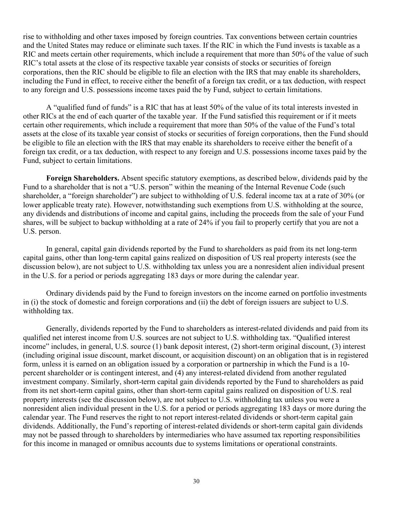rise to withholding and other taxes imposed by foreign countries. Tax conventions between certain countries and the United States may reduce or eliminate such taxes. If the RIC in which the Fund invests is taxable as a RIC and meets certain other requirements, which include a requirement that more than 50% of the value of such RIC's total assets at the close of its respective taxable year consists of stocks or securities of foreign corporations, then the RIC should be eligible to file an election with the IRS that may enable its shareholders, including the Fund in effect, to receive either the benefit of a foreign tax credit, or a tax deduction, with respect to any foreign and U.S. possessions income taxes paid the by Fund, subject to certain limitations.

A "qualified fund of funds" is a RIC that has at least 50% of the value of its total interests invested in other RICs at the end of each quarter of the taxable year. If the Fund satisfied this requirement or if it meets certain other requirements, which include a requirement that more than 50% of the value of the Fund's total assets at the close of its taxable year consist of stocks or securities of foreign corporations, then the Fund should be eligible to file an election with the IRS that may enable its shareholders to receive either the benefit of a foreign tax credit, or a tax deduction, with respect to any foreign and U.S. possessions income taxes paid by the Fund, subject to certain limitations.

**Foreign Shareholders.** Absent specific statutory exemptions, as described below, dividends paid by the Fund to a shareholder that is not a "U.S. person" within the meaning of the Internal Revenue Code (such shareholder, a "foreign shareholder") are subject to withholding of U.S. federal income tax at a rate of 30% (or lower applicable treaty rate). However, notwithstanding such exemptions from U.S. withholding at the source, any dividends and distributions of income and capital gains, including the proceeds from the sale of your Fund shares, will be subject to backup withholding at a rate of 24% if you fail to properly certify that you are not a U.S. person.

In general, capital gain dividends reported by the Fund to shareholders as paid from its net long-term capital gains, other than long-term capital gains realized on disposition of US real property interests (see the discussion below), are not subject to U.S. withholding tax unless you are a nonresident alien individual present in the U.S. for a period or periods aggregating 183 days or more during the calendar year.

Ordinary dividends paid by the Fund to foreign investors on the income earned on portfolio investments in (i) the stock of domestic and foreign corporations and (ii) the debt of foreign issuers are subject to U.S. withholding tax.

Generally, dividends reported by the Fund to shareholders as interest-related dividends and paid from its qualified net interest income from U.S. sources are not subject to U.S. withholding tax. "Qualified interest income" includes, in general, U.S. source (1) bank deposit interest, (2) short-term original discount, (3) interest (including original issue discount, market discount, or acquisition discount) on an obligation that is in registered form, unless it is earned on an obligation issued by a corporation or partnership in which the Fund is a 10 percent shareholder or is contingent interest, and (4) any interest-related dividend from another regulated investment company. Similarly, short-term capital gain dividends reported by the Fund to shareholders as paid from its net short-term capital gains, other than short-term capital gains realized on disposition of U.S. real property interests (see the discussion below), are not subject to U.S. withholding tax unless you were a nonresident alien individual present in the U.S. for a period or periods aggregating 183 days or more during the calendar year. The Fund reserves the right to not report interest-related dividends or short-term capital gain dividends. Additionally, the Fund's reporting of interest-related dividends or short-term capital gain dividends may not be passed through to shareholders by intermediaries who have assumed tax reporting responsibilities for this income in managed or omnibus accounts due to systems limitations or operational constraints.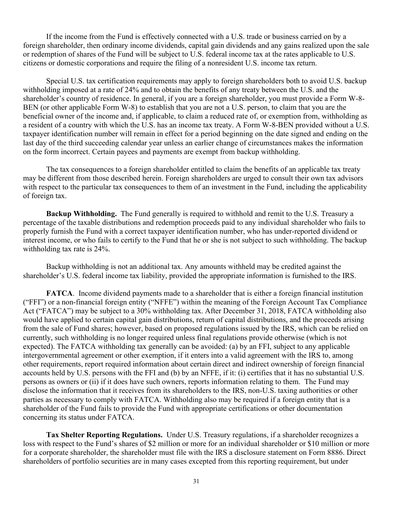If the income from the Fund is effectively connected with a U.S. trade or business carried on by a foreign shareholder, then ordinary income dividends, capital gain dividends and any gains realized upon the sale or redemption of shares of the Fund will be subject to U.S. federal income tax at the rates applicable to U.S. citizens or domestic corporations and require the filing of a nonresident U.S. income tax return.

Special U.S. tax certification requirements may apply to foreign shareholders both to avoid U.S. backup withholding imposed at a rate of 24% and to obtain the benefits of any treaty between the U.S. and the shareholder's country of residence. In general, if you are a foreign shareholder, you must provide a Form W-8- BEN (or other applicable Form W-8) to establish that you are not a U.S. person, to claim that you are the beneficial owner of the income and, if applicable, to claim a reduced rate of, or exemption from, withholding as a resident of a country with which the U.S. has an income tax treaty. A Form W-8-BEN provided without a U.S. taxpayer identification number will remain in effect for a period beginning on the date signed and ending on the last day of the third succeeding calendar year unless an earlier change of circumstances makes the information on the form incorrect. Certain payees and payments are exempt from backup withholding.

The tax consequences to a foreign shareholder entitled to claim the benefits of an applicable tax treaty may be different from those described herein. Foreign shareholders are urged to consult their own tax advisors with respect to the particular tax consequences to them of an investment in the Fund, including the applicability of foreign tax.

**Backup Withholding.** The Fund generally is required to withhold and remit to the U.S. Treasury a percentage of the taxable distributions and redemption proceeds paid to any individual shareholder who fails to properly furnish the Fund with a correct taxpayer identification number, who has under-reported dividend or interest income, or who fails to certify to the Fund that he or she is not subject to such withholding. The backup withholding tax rate is 24%.

Backup withholding is not an additional tax. Any amounts withheld may be credited against the shareholder's U.S. federal income tax liability, provided the appropriate information is furnished to the IRS.

**FATCA.** Income dividend payments made to a shareholder that is either a foreign financial institution ("FFI") or a non-financial foreign entity ("NFFE") within the meaning of the Foreign Account Tax Compliance Act ("FATCA") may be subject to a 30% withholding tax. After December 31, 2018, FATCA withholding also would have applied to certain capital gain distributions, return of capital distributions, and the proceeds arising from the sale of Fund shares; however, based on proposed regulations issued by the IRS, which can be relied on currently, such withholding is no longer required unless final regulations provide otherwise (which is not expected). The FATCA withholding tax generally can be avoided: (a) by an FFI, subject to any applicable intergovernmental agreement or other exemption, if it enters into a valid agreement with the IRS to, among other requirements, report required information about certain direct and indirect ownership of foreign financial accounts held by U.S. persons with the FFI and (b) by an NFFE, if it: (i) certifies that it has no substantial U.S. persons as owners or (ii) if it does have such owners, reports information relating to them. The Fund may disclose the information that it receives from its shareholders to the IRS, non-U.S. taxing authorities or other parties as necessary to comply with FATCA. Withholding also may be required if a foreign entity that is a shareholder of the Fund fails to provide the Fund with appropriate certifications or other documentation concerning its status under FATCA.

**Tax Shelter Reporting Regulations.** Under U.S. Treasury regulations, if a shareholder recognizes a loss with respect to the Fund's shares of \$2 million or more for an individual shareholder or \$10 million or more for a corporate shareholder, the shareholder must file with the IRS a disclosure statement on Form 8886. Direct shareholders of portfolio securities are in many cases excepted from this reporting requirement, but under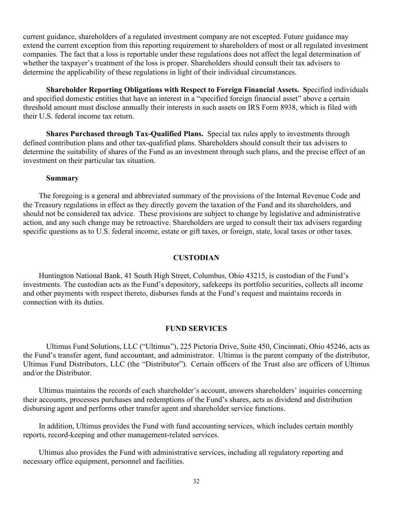current guidance, shareholders of a regulated investment company are not excepted. Future guidance may extend the current exception from this reporting requirement to shareholders of most or all regulated investment companies. The fact that a loss is reportable under these regulations does not affect the legal determination of whether the taxpayer's treatment of the loss is proper. Shareholders should consult their tax advisers to determine the applicability of these regulations in light of their individual circumstances.

**Shareholder Reporting Obligations with Respect to Foreign Financial Assets. S**pecified individuals and specified domestic entities that have an interest in a "specified foreign financial asset" above a certain threshold amount must disclose annually their interests in such assets on IRS Form 8938, which is filed with their U.S. federal income tax return.

**Shares Purchased through Tax-Qualified Plans.** Special tax rules apply to investments through defined contribution plans and other tax-qualified plans. Shareholders should consult their tax advisers to determine the suitability of shares of the Fund as an investment through such plans, and the precise effect of an investment on their particular tax situation.

#### **Summary**

The foregoing is a general and abbreviated summary of the provisions of the Internal Revenue Code and the Treasury regulations in effect as they directly govern the taxation of the Fund and its shareholders, and should not be considered tax advice. These provisions are subject to change by legislative and administrative action, and any such change may be retroactive. Shareholders are urged to consult their tax advisers regarding specific questions as to U.S. federal income, estate or gift taxes, or foreign, state, local taxes or other taxes.

## **CUSTODIAN**

<span id="page-33-0"></span>Huntington National Bank, 41 South High Street, Columbus, Ohio 43215, is custodian of the Fund's investments. The custodian acts as the Fund's depository, safekeeps its portfolio securities, collects all income and other payments with respect thereto, disburses funds at the Fund's request and maintains records in connection with its duties.

### **FUND SERVICES**

<span id="page-33-1"></span>Ultimus Fund Solutions, LLC ("Ultimus"), 225 Pictoria Drive, Suite 450, Cincinnati, Ohio 45246, acts as the Fund's transfer agent, fund accountant, and administrator. Ultimus is the parent company of the distributor, Ultimus Fund Distributors, LLC (the "Distributor"). Certain officers of the Trust also are officers of Ultimus and/or the Distributor.

Ultimus maintains the records of each shareholder's account, answers shareholders' inquiries concerning their accounts, processes purchases and redemptions of the Fund's shares, acts as dividend and distribution disbursing agent and performs other transfer agent and shareholder service functions.

In addition, Ultimus provides the Fund with fund accounting services, which includes certain monthly reports, record-keeping and other management-related services.

Ultimus also provides the Fund with administrative services, including all regulatory reporting and necessary office equipment, personnel and facilities.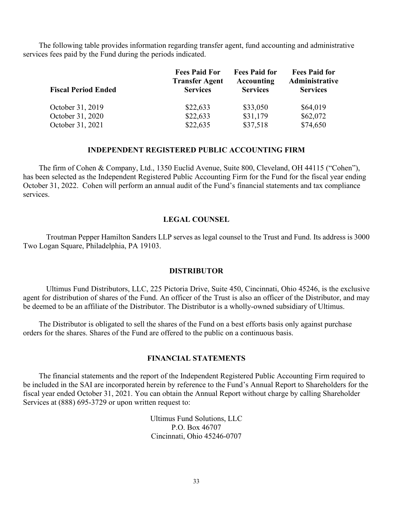The following table provides information regarding transfer agent, fund accounting and administrative services fees paid by the Fund during the periods indicated.

|                            | <b>Fees Paid For</b>                     | <b>Fees Paid for</b>          | <b>Fees Paid for</b>              |
|----------------------------|------------------------------------------|-------------------------------|-----------------------------------|
| <b>Fiscal Period Ended</b> | <b>Transfer Agent</b><br><b>Services</b> | Accounting<br><b>Services</b> | Administrative<br><b>Services</b> |
| October 31, 2019           | \$22,633                                 | \$33,050                      | \$64,019                          |
| October 31, 2020           | \$22,633                                 | \$31,179                      | \$62,072                          |
| October 31, 2021           | \$22,635                                 | \$37,518                      | \$74,650                          |

#### **INDEPENDENT REGISTERED PUBLIC ACCOUNTING FIRM**

<span id="page-34-0"></span>The firm of Cohen & Company, Ltd., 1350 Euclid Avenue, Suite 800, Cleveland, OH 44115 ("Cohen"), has been selected as the Independent Registered Public Accounting Firm for the Fund for the fiscal year ending October 31, 2022. Cohen will perform an annual audit of the Fund's financial statements and tax compliance services.

#### **LEGAL COUNSEL**

<span id="page-34-1"></span>Troutman Pepper Hamilton Sanders LLP serves as legal counsel to the Trust and Fund. Its address is 3000 Two Logan Square, Philadelphia, PA 19103.

#### **DISTRIBUTOR**

<span id="page-34-2"></span>Ultimus Fund Distributors, LLC, 225 Pictoria Drive, Suite 450, Cincinnati, Ohio 45246, is the exclusive agent for distribution of shares of the Fund. An officer of the Trust is also an officer of the Distributor, and may be deemed to be an affiliate of the Distributor. The Distributor is a wholly-owned subsidiary of Ultimus.

The Distributor is obligated to sell the shares of the Fund on a best efforts basis only against purchase orders for the shares. Shares of the Fund are offered to the public on a continuous basis.

### **FINANCIAL STATEMENTS**

<span id="page-34-3"></span>The financial statements and the report of the Independent Registered Public Accounting Firm required to be included in the SAI are incorporated herein by reference to the Fund's Annual Report to Shareholders for the fiscal year ended October 31, 2021. You can obtain the Annual Report without charge by calling Shareholder Services at (888) 695-3729 or upon written request to:

> Ultimus Fund Solutions, LLC P.O. Box 46707 Cincinnati, Ohio 45246-0707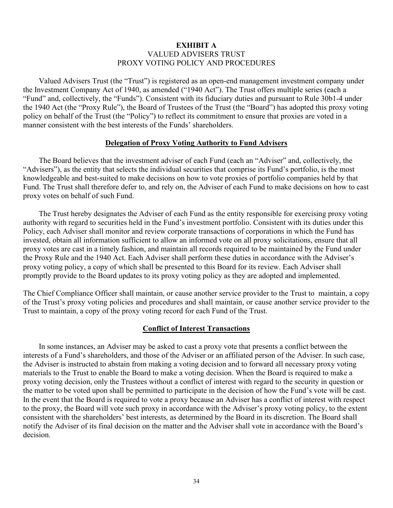## **EXHIBIT A**  VALUED ADVISERS TRUST PROXY VOTING POLICY AND PROCEDURES

<span id="page-35-0"></span>Valued Advisers Trust (the "Trust") is registered as an open-end management investment company under the Investment Company Act of 1940, as amended ("1940 Act"). The Trust offers multiple series (each a "Fund" and, collectively, the "Funds"). Consistent with its fiduciary duties and pursuant to Rule 30b1-4 under the 1940 Act (the "Proxy Rule"), the Board of Trustees of the Trust (the "Board") has adopted this proxy voting policy on behalf of the Trust (the "Policy") to reflect its commitment to ensure that proxies are voted in a manner consistent with the best interests of the Funds' shareholders.

#### **Delegation of Proxy Voting Authority to Fund Advisers**

The Board believes that the investment adviser of each Fund (each an "Adviser" and, collectively, the "Advisers"), as the entity that selects the individual securities that comprise its Fund's portfolio, is the most knowledgeable and best-suited to make decisions on how to vote proxies of portfolio companies held by that Fund. The Trust shall therefore defer to, and rely on, the Adviser of each Fund to make decisions on how to cast proxy votes on behalf of such Fund.

The Trust hereby designates the Adviser of each Fund as the entity responsible for exercising proxy voting authority with regard to securities held in the Fund's investment portfolio. Consistent with its duties under this Policy, each Adviser shall monitor and review corporate transactions of corporations in which the Fund has invested, obtain all information sufficient to allow an informed vote on all proxy solicitations, ensure that all proxy votes are cast in a timely fashion, and maintain all records required to be maintained by the Fund under the Proxy Rule and the 1940 Act. Each Adviser shall perform these duties in accordance with the Adviser's proxy voting policy, a copy of which shall be presented to this Board for its review. Each Adviser shall promptly provide to the Board updates to its proxy voting policy as they are adopted and implemented.

The Chief Compliance Officer shall maintain, or cause another service provider to the Trust to maintain, a copy of the Trust's proxy voting policies and procedures and shall maintain, or cause another service provider to the Trust to maintain, a copy of the proxy voting record for each Fund of the Trust.

#### **Conflict of Interest Transactions**

In some instances, an Adviser may be asked to cast a proxy vote that presents a conflict between the interests of a Fund's shareholders, and those of the Adviser or an affiliated person of the Adviser. In such case, the Adviser is instructed to abstain from making a voting decision and to forward all necessary proxy voting materials to the Trust to enable the Board to make a voting decision. When the Board is required to make a proxy voting decision, only the Trustees without a conflict of interest with regard to the security in question or the matter to be voted upon shall be permitted to participate in the decision of how the Fund's vote will be cast. In the event that the Board is required to vote a proxy because an Adviser has a conflict of interest with respect to the proxy, the Board will vote such proxy in accordance with the Adviser's proxy voting policy, to the extent consistent with the shareholders' best interests, as determined by the Board in its discretion. The Board shall notify the Adviser of its final decision on the matter and the Adviser shall vote in accordance with the Board's decision.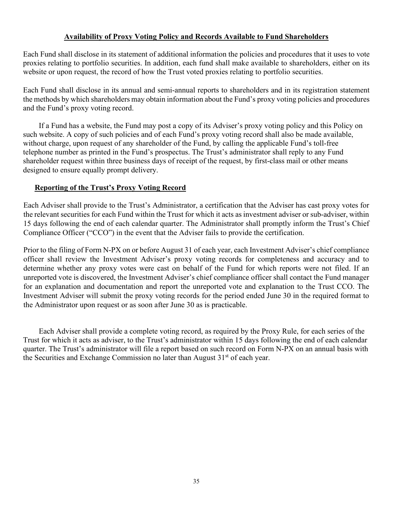# **Availability of Proxy Voting Policy and Records Available to Fund Shareholders**

Each Fund shall disclose in its statement of additional information the policies and procedures that it uses to vote proxies relating to portfolio securities. In addition, each fund shall make available to shareholders, either on its website or upon request, the record of how the Trust voted proxies relating to portfolio securities.

Each Fund shall disclose in its annual and semi-annual reports to shareholders and in its registration statement the methods by which shareholders may obtain information about the Fund's proxy voting policies and procedures and the Fund's proxy voting record.

If a Fund has a website, the Fund may post a copy of its Adviser's proxy voting policy and this Policy on such website. A copy of such policies and of each Fund's proxy voting record shall also be made available, without charge, upon request of any shareholder of the Fund, by calling the applicable Fund's toll-free telephone number as printed in the Fund's prospectus. The Trust's administrator shall reply to any Fund shareholder request within three business days of receipt of the request, by first-class mail or other means designed to ensure equally prompt delivery.

# **Reporting of the Trust's Proxy Voting Record**

Each Adviser shall provide to the Trust's Administrator, a certification that the Adviser has cast proxy votes for the relevant securities for each Fund within the Trust for which it acts as investment adviser or sub-adviser, within 15 days following the end of each calendar quarter. The Administrator shall promptly inform the Trust's Chief Compliance Officer ("CCO") in the event that the Adviser fails to provide the certification.

Prior to the filing of Form N-PX on or before August 31 of each year, each Investment Adviser's chief compliance officer shall review the Investment Adviser's proxy voting records for completeness and accuracy and to determine whether any proxy votes were cast on behalf of the Fund for which reports were not filed. If an unreported vote is discovered, the Investment Adviser's chief compliance officer shall contact the Fund manager for an explanation and documentation and report the unreported vote and explanation to the Trust CCO. The Investment Adviser will submit the proxy voting records for the period ended June 30 in the required format to the Administrator upon request or as soon after June 30 as is practicable.

<span id="page-36-0"></span>Each Adviser shall provide a complete voting record, as required by the Proxy Rule, for each series of the Trust for which it acts as adviser, to the Trust's administrator within 15 days following the end of each calendar quarter. The Trust's administrator will file a report based on such record on Form N-PX on an annual basis with the Securities and Exchange Commission no later than August  $31<sup>st</sup>$  of each year.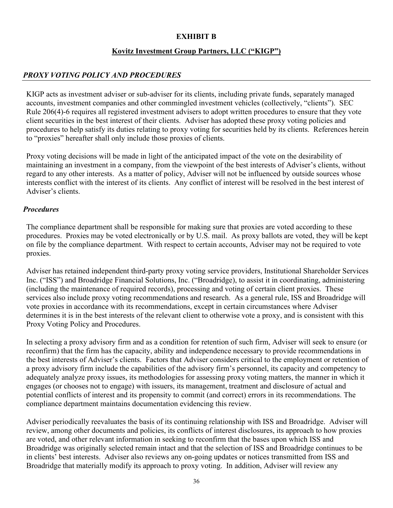# **EXHIBIT B**

# **Kovitz Investment Group Partners, LLC ("KIGP")**

# *PROXY VOTING POLICY AND PROCEDURES*

KIGP acts as investment adviser or sub-adviser for its clients, including private funds, separately managed accounts, investment companies and other commingled investment vehicles (collectively, "clients"). SEC Rule 206(4)-6 requires all registered investment advisers to adopt written procedures to ensure that they vote client securities in the best interest of their clients. Adviser has adopted these proxy voting policies and procedures to help satisfy its duties relating to proxy voting for securities held by its clients. References herein to "proxies" hereafter shall only include those proxies of clients.

Proxy voting decisions will be made in light of the anticipated impact of the vote on the desirability of maintaining an investment in a company, from the viewpoint of the best interests of Adviser's clients, without regard to any other interests. As a matter of policy, Adviser will not be influenced by outside sources whose interests conflict with the interest of its clients. Any conflict of interest will be resolved in the best interest of Adviser's clients.

# *Procedures*

The compliance department shall be responsible for making sure that proxies are voted according to these procedures. Proxies may be voted electronically or by U.S. mail. As proxy ballots are voted, they will be kept on file by the compliance department. With respect to certain accounts, Adviser may not be required to vote proxies.

Adviser has retained independent third-party proxy voting service providers, Institutional Shareholder Services Inc. ("ISS") and Broadridge Financial Solutions, Inc. ("Broadridge), to assist it in coordinating, administering (including the maintenance of required records), processing and voting of certain client proxies. These services also include proxy voting recommendations and research. As a general rule, ISS and Broadridge will vote proxies in accordance with its recommendations, except in certain circumstances where Adviser determines it is in the best interests of the relevant client to otherwise vote a proxy, and is consistent with this Proxy Voting Policy and Procedures.

In selecting a proxy advisory firm and as a condition for retention of such firm, Adviser will seek to ensure (or reconfirm) that the firm has the capacity, ability and independence necessary to provide recommendations in the best interests of Adviser's clients. Factors that Adviser considers critical to the employment or retention of a proxy advisory firm include the capabilities of the advisory firm's personnel, its capacity and competency to adequately analyze proxy issues, its methodologies for assessing proxy voting matters, the manner in which it engages (or chooses not to engage) with issuers, its management, treatment and disclosure of actual and potential conflicts of interest and its propensity to commit (and correct) errors in its recommendations. The compliance department maintains documentation evidencing this review.

Adviser periodically reevaluates the basis of its continuing relationship with ISS and Broadridge. Adviser will review, among other documents and policies, its conflicts of interest disclosures, its approach to how proxies are voted, and other relevant information in seeking to reconfirm that the bases upon which ISS and Broadridge was originally selected remain intact and that the selection of ISS and Broadridge continues to be in clients' best interests. Adviser also reviews any on-going updates or notices transmitted from ISS and Broadridge that materially modify its approach to proxy voting. In addition, Adviser will review any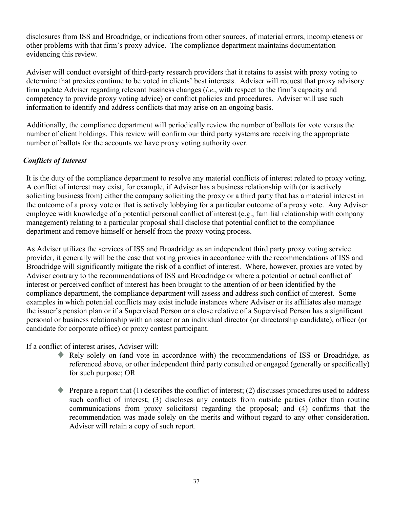disclosures from ISS and Broadridge, or indications from other sources, of material errors, incompleteness or other problems with that firm's proxy advice. The compliance department maintains documentation evidencing this review.

Adviser will conduct oversight of third-party research providers that it retains to assist with proxy voting to determine that proxies continue to be voted in clients' best interests. Adviser will request that proxy advisory firm update Adviser regarding relevant business changes (*i.e*., with respect to the firm's capacity and competency to provide proxy voting advice) or conflict policies and procedures. Adviser will use such information to identify and address conflicts that may arise on an ongoing basis.

Additionally, the compliance department will periodically review the number of ballots for vote versus the number of client holdings. This review will confirm our third party systems are receiving the appropriate number of ballots for the accounts we have proxy voting authority over.

# *Conflicts of Interest*

It is the duty of the compliance department to resolve any material conflicts of interest related to proxy voting. A conflict of interest may exist, for example, if Adviser has a business relationship with (or is actively soliciting business from) either the company soliciting the proxy or a third party that has a material interest in the outcome of a proxy vote or that is actively lobbying for a particular outcome of a proxy vote. Any Adviser employee with knowledge of a potential personal conflict of interest (e.g., familial relationship with company management) relating to a particular proposal shall disclose that potential conflict to the compliance department and remove himself or herself from the proxy voting process.

As Adviser utilizes the services of ISS and Broadridge as an independent third party proxy voting service provider, it generally will be the case that voting proxies in accordance with the recommendations of ISS and Broadridge will significantly mitigate the risk of a conflict of interest. Where, however, proxies are voted by Adviser contrary to the recommendations of ISS and Broadridge or where a potential or actual conflict of interest or perceived conflict of interest has been brought to the attention of or been identified by the compliance department, the compliance department will assess and address such conflict of interest. Some examples in which potential conflicts may exist include instances where Adviser or its affiliates also manage the issuer's pension plan or if a Supervised Person or a close relative of a Supervised Person has a significant personal or business relationship with an issuer or an individual director (or directorship candidate), officer (or candidate for corporate office) or proxy contest participant.

If a conflict of interest arises, Adviser will:

- Rely solely on (and vote in accordance with) the recommendations of ISS or Broadridge, as referenced above, or other independent third party consulted or engaged (generally or specifically) for such purpose; OR
- Prepare a report that (1) describes the conflict of interest; (2) discusses procedures used to address such conflict of interest; (3) discloses any contacts from outside parties (other than routine communications from proxy solicitors) regarding the proposal; and (4) confirms that the recommendation was made solely on the merits and without regard to any other consideration. Adviser will retain a copy of such report.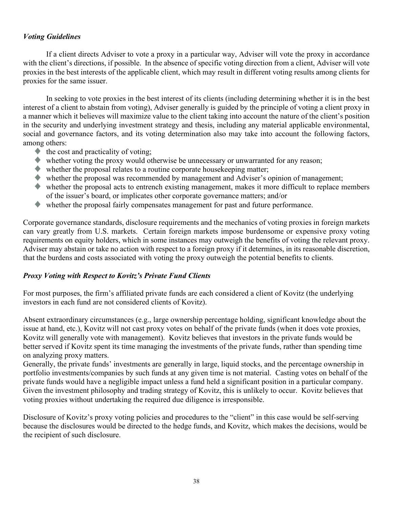# *Voting Guidelines*

If a client directs Adviser to vote a proxy in a particular way, Adviser will vote the proxy in accordance with the client's directions, if possible. In the absence of specific voting direction from a client, Adviser will vote proxies in the best interests of the applicable client, which may result in different voting results among clients for proxies for the same issuer.

In seeking to vote proxies in the best interest of its clients (including determining whether it is in the best interest of a client to abstain from voting), Adviser generally is guided by the principle of voting a client proxy in a manner which it believes will maximize value to the client taking into account the nature of the client's position in the security and underlying investment strategy and thesis, including any material applicable environmental, social and governance factors, and its voting determination also may take into account the following factors, among others:

- $\blacklozenge$  the cost and practicality of voting;
- whether voting the proxy would otherwise be unnecessary or unwarranted for any reason;
- whether the proposal relates to a routine corporate housekeeping matter;
- whether the proposal was recommended by management and Adviser's opinion of management;
- whether the proposal acts to entrench existing management, makes it more difficult to replace members of the issuer's board, or implicates other corporate governance matters; and/or
- $\blacklozenge$ whether the proposal fairly compensates management for past and future performance.

Corporate governance standards, disclosure requirements and the mechanics of voting proxies in foreign markets can vary greatly from U.S. markets. Certain foreign markets impose burdensome or expensive proxy voting requirements on equity holders, which in some instances may outweigh the benefits of voting the relevant proxy. Adviser may abstain or take no action with respect to a foreign proxy if it determines, in its reasonable discretion, that the burdens and costs associated with voting the proxy outweigh the potential benefits to clients.

# *Proxy Voting with Respect to Kovitz's Private Fund Clients*

For most purposes, the firm's affiliated private funds are each considered a client of Kovitz (the underlying investors in each fund are not considered clients of Kovitz).

Absent extraordinary circumstances (e.g., large ownership percentage holding, significant knowledge about the issue at hand, etc.), Kovitz will not cast proxy votes on behalf of the private funds (when it does vote proxies, Kovitz will generally vote with management). Kovitz believes that investors in the private funds would be better served if Kovitz spent its time managing the investments of the private funds, rather than spending time on analyzing proxy matters.

Generally, the private funds' investments are generally in large, liquid stocks, and the percentage ownership in portfolio investments/companies by such funds at any given time is not material. Casting votes on behalf of the private funds would have a negligible impact unless a fund held a significant position in a particular company. Given the investment philosophy and trading strategy of Kovitz, this is unlikely to occur. Kovitz believes that voting proxies without undertaking the required due diligence is irresponsible.

Disclosure of Kovitz's proxy voting policies and procedures to the "client" in this case would be self-serving because the disclosures would be directed to the hedge funds, and Kovitz, which makes the decisions, would be the recipient of such disclosure.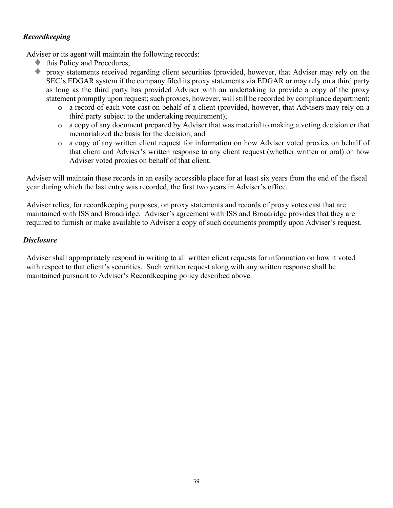# *Recordkeeping*

Adviser or its agent will maintain the following records:

- this Policy and Procedures;
- proxy statements received regarding client securities (provided, however, that Adviser may rely on the SEC's EDGAR system if the company filed its proxy statements via EDGAR or may rely on a third party as long as the third party has provided Adviser with an undertaking to provide a copy of the proxy statement promptly upon request; such proxies, however, will still be recorded by compliance department;
	- o a record of each vote cast on behalf of a client (provided, however, that Advisers may rely on a third party subject to the undertaking requirement);
	- o a copy of any document prepared by Adviser that was material to making a voting decision or that memorialized the basis for the decision; and
	- o a copy of any written client request for information on how Adviser voted proxies on behalf of that client and Adviser's written response to any client request (whether written or oral) on how Adviser voted proxies on behalf of that client.

Adviser will maintain these records in an easily accessible place for at least six years from the end of the fiscal year during which the last entry was recorded, the first two years in Adviser's office.

Adviser relies, for recordkeeping purposes, on proxy statements and records of proxy votes cast that are maintained with ISS and Broadridge. Adviser's agreement with ISS and Broadridge provides that they are required to furnish or make available to Adviser a copy of such documents promptly upon Adviser's request.

# *Disclosure*

Adviser shall appropriately respond in writing to all written client requests for information on how it voted with respect to that client's securities. Such written request along with any written response shall be maintained pursuant to Adviser's Recordkeeping policy described above.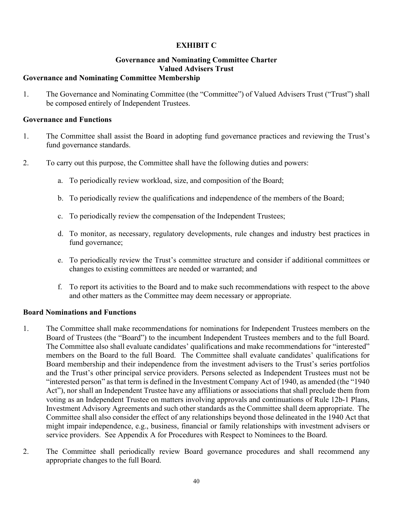# **EXHIBIT C**

# **Governance and Nominating Committee Charter Valued Advisers Trust**

# <span id="page-41-0"></span>**Governance and Nominating Committee Membership**

1. The Governance and Nominating Committee (the "Committee") of Valued Advisers Trust ("Trust") shall be composed entirely of Independent Trustees.

### **Governance and Functions**

- 1. The Committee shall assist the Board in adopting fund governance practices and reviewing the Trust's fund governance standards.
- 2. To carry out this purpose, the Committee shall have the following duties and powers:
	- a. To periodically review workload, size, and composition of the Board;
	- b. To periodically review the qualifications and independence of the members of the Board;
	- c. To periodically review the compensation of the Independent Trustees;
	- d. To monitor, as necessary, regulatory developments, rule changes and industry best practices in fund governance;
	- e. To periodically review the Trust's committee structure and consider if additional committees or changes to existing committees are needed or warranted; and
	- f. To report its activities to the Board and to make such recommendations with respect to the above and other matters as the Committee may deem necessary or appropriate.

## **Board Nominations and Functions**

- 1. The Committee shall make recommendations for nominations for Independent Trustees members on the Board of Trustees (the "Board") to the incumbent Independent Trustees members and to the full Board. The Committee also shall evaluate candidates' qualifications and make recommendations for "interested" members on the Board to the full Board. The Committee shall evaluate candidates' qualifications for Board membership and their independence from the investment advisers to the Trust's series portfolios and the Trust's other principal service providers. Persons selected as Independent Trustees must not be "interested person" as that term is defined in the Investment Company Act of 1940, as amended (the "1940 Act"), nor shall an Independent Trustee have any affiliations or associations that shall preclude them from voting as an Independent Trustee on matters involving approvals and continuations of Rule 12b-1 Plans, Investment Advisory Agreements and such other standards as the Committee shall deem appropriate. The Committee shall also consider the effect of any relationships beyond those delineated in the 1940 Act that might impair independence, e.g., business, financial or family relationships with investment advisers or service providers. See Appendix A for Procedures with Respect to Nominees to the Board.
- 2. The Committee shall periodically review Board governance procedures and shall recommend any appropriate changes to the full Board.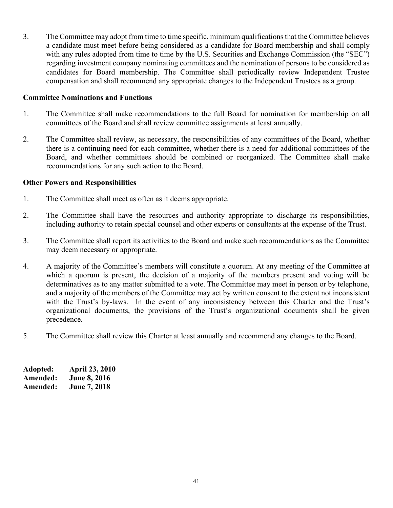3. The Committee may adopt from time to time specific, minimum qualifications that the Committee believes a candidate must meet before being considered as a candidate for Board membership and shall comply with any rules adopted from time to time by the U.S. Securities and Exchange Commission (the "SEC") regarding investment company nominating committees and the nomination of persons to be considered as candidates for Board membership. The Committee shall periodically review Independent Trustee compensation and shall recommend any appropriate changes to the Independent Trustees as a group.

## **Committee Nominations and Functions**

- 1. The Committee shall make recommendations to the full Board for nomination for membership on all committees of the Board and shall review committee assignments at least annually.
- 2. The Committee shall review, as necessary, the responsibilities of any committees of the Board, whether there is a continuing need for each committee, whether there is a need for additional committees of the Board, and whether committees should be combined or reorganized. The Committee shall make recommendations for any such action to the Board.

## **Other Powers and Responsibilities**

- 1. The Committee shall meet as often as it deems appropriate.
- 2. The Committee shall have the resources and authority appropriate to discharge its responsibilities, including authority to retain special counsel and other experts or consultants at the expense of the Trust.
- 3. The Committee shall report its activities to the Board and make such recommendations as the Committee may deem necessary or appropriate.
- 4. A majority of the Committee's members will constitute a quorum. At any meeting of the Committee at which a quorum is present, the decision of a majority of the members present and voting will be determinatives as to any matter submitted to a vote. The Committee may meet in person or by telephone, and a majority of the members of the Committee may act by written consent to the extent not inconsistent with the Trust's by-laws. In the event of any inconsistency between this Charter and the Trust's organizational documents, the provisions of the Trust's organizational documents shall be given precedence.
- 5. The Committee shall review this Charter at least annually and recommend any changes to the Board.

| Adopted: | <b>April 23, 2010</b> |
|----------|-----------------------|
| Amended: | <b>June 8, 2016</b>   |
| Amended: | June 7, 2018          |